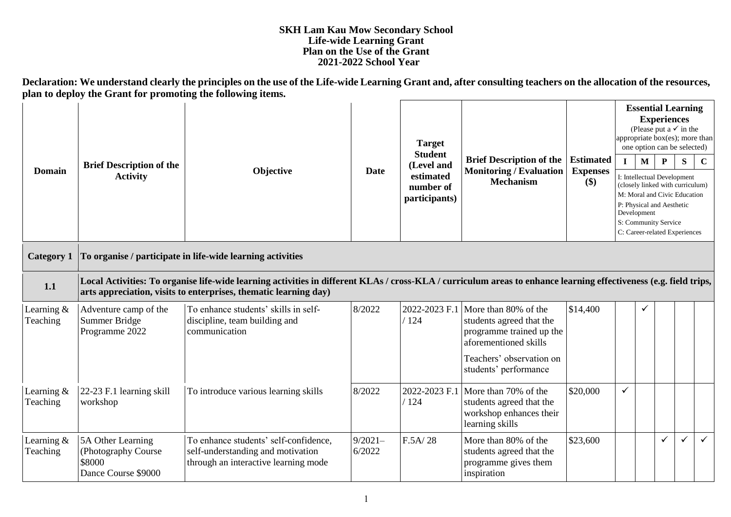## **SKH Lam Kau Mow Secondary School Life-wide Learning Grant Plan on the Use of the Grant 2021-2022 School Year**

**Declaration: We understand clearly the principles on the use of the Life-wide Learning Grant and, after consulting teachers on the allocation of the resources, plan to deploy the Grant for promoting the following items.**

| <b>Domain</b>          | <b>Target</b><br><b>Student</b><br><b>Brief Description of the</b><br>Objective<br>Date<br><b>Activity</b> | (Level and                                                                                                                                                                                                                            |                     | <b>Brief Description of the</b>         | <b>Estimated</b>                                                                                                                                           | $\mathbf{I}$           | <b>Essential Learning</b><br>(Please put a $\checkmark$ in the<br>appropriate box(es); more than<br>one option can be selected)<br>$\mathbf{M}$ | <b>Experiences</b><br>P | ${\bf S}$ | $\mathbf C$                                                                                                                                                                           |              |  |  |
|------------------------|------------------------------------------------------------------------------------------------------------|---------------------------------------------------------------------------------------------------------------------------------------------------------------------------------------------------------------------------------------|---------------------|-----------------------------------------|------------------------------------------------------------------------------------------------------------------------------------------------------------|------------------------|-------------------------------------------------------------------------------------------------------------------------------------------------|-------------------------|-----------|---------------------------------------------------------------------------------------------------------------------------------------------------------------------------------------|--------------|--|--|
|                        |                                                                                                            |                                                                                                                                                                                                                                       |                     | estimated<br>number of<br>participants) | <b>Monitoring / Evaluation</b><br><b>Mechanism</b>                                                                                                         | <b>Expenses</b><br>\$) |                                                                                                                                                 | Development             |           | I: Intellectual Development<br>(closely linked with curriculum)<br>M: Moral and Civic Education<br>P: Physical and Aesthetic<br>S: Community Service<br>C: Career-related Experiences |              |  |  |
| <b>Category 1</b>      |                                                                                                            | To organise / participate in life-wide learning activities                                                                                                                                                                            |                     |                                         |                                                                                                                                                            |                        |                                                                                                                                                 |                         |           |                                                                                                                                                                                       |              |  |  |
| 1.1                    |                                                                                                            | Local Activities: To organise life-wide learning activities in different KLAs / cross-KLA / curriculum areas to enhance learning effectiveness (e.g. field trips,<br>arts appreciation, visits to enterprises, thematic learning day) |                     |                                         |                                                                                                                                                            |                        |                                                                                                                                                 |                         |           |                                                                                                                                                                                       |              |  |  |
| Learning &<br>Teaching | Adventure camp of the<br>Summer Bridge<br>Programme 2022                                                   | To enhance students' skills in self-<br>discipline, team building and<br>communication                                                                                                                                                | 8/2022              | 2022-2023 F.1<br>/124                   | More than 80% of the<br>students agreed that the<br>programme trained up the<br>aforementioned skills<br>Teachers' observation on<br>students' performance | \$14,400               |                                                                                                                                                 | ✓                       |           |                                                                                                                                                                                       |              |  |  |
| Learning &<br>Teaching | 22-23 F.1 learning skill<br>workshop                                                                       | To introduce various learning skills                                                                                                                                                                                                  | 8/2022              | 2022-2023 F.1<br>/124                   | More than 70% of the<br>students agreed that the<br>workshop enhances their<br>learning skills                                                             | \$20,000               | ✓                                                                                                                                               |                         |           |                                                                                                                                                                                       |              |  |  |
| Learning &<br>Teaching | 5A Other Learning<br>(Photography Course<br>\$8000<br>Dance Course \$9000                                  | To enhance students' self-confidence,<br>self-understanding and motivation<br>through an interactive learning mode                                                                                                                    | $9/2021-$<br>6/2022 | F.5A/28                                 | More than 80% of the<br>students agreed that the<br>programme gives them<br>inspiration                                                                    | \$23,600               |                                                                                                                                                 |                         | ✓         | $\checkmark$                                                                                                                                                                          | $\checkmark$ |  |  |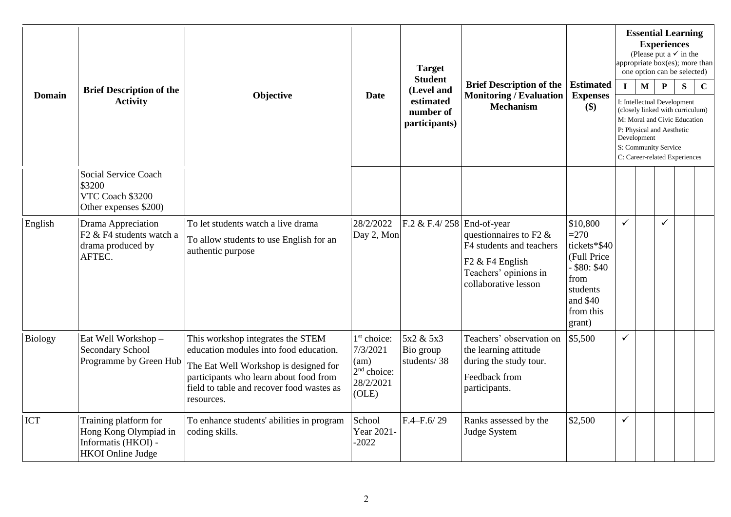| <b>Domain</b>  | <b>Brief Description of the</b><br><b>Activity</b>                                                | Objective                                                                                                                                                                                                                 | <b>Date</b>                                                                                  | <b>Target</b><br><b>Student</b><br>(Level and<br>estimated<br>number of<br>participants) | <b>Brief Description of the</b><br><b>Monitoring / Evaluation</b><br><b>Mechanism</b>                                                                            | <b>Estimated</b><br><b>Expenses</b><br>$(\$)$                                                                               | $\mathbf{I}$ | $\mathbf{M}$<br>Development | <b>Experiences</b><br>$\mathbf{P}$<br>I: Intellectual Development<br>P: Physical and Aesthetic<br>S: Community Service | <b>Essential Learning</b><br>(Please put a $\checkmark$ in the<br>appropriate box(es); more than<br>one option can be selected)<br>S<br>(closely linked with curriculum)<br>M: Moral and Civic Education<br>C: Career-related Experiences | $\mathbf C$ |
|----------------|---------------------------------------------------------------------------------------------------|---------------------------------------------------------------------------------------------------------------------------------------------------------------------------------------------------------------------------|----------------------------------------------------------------------------------------------|------------------------------------------------------------------------------------------|------------------------------------------------------------------------------------------------------------------------------------------------------------------|-----------------------------------------------------------------------------------------------------------------------------|--------------|-----------------------------|------------------------------------------------------------------------------------------------------------------------|-------------------------------------------------------------------------------------------------------------------------------------------------------------------------------------------------------------------------------------------|-------------|
|                | Social Service Coach<br>\$3200<br>VTC Coach \$3200<br>Other expenses \$200)                       |                                                                                                                                                                                                                           |                                                                                              |                                                                                          |                                                                                                                                                                  |                                                                                                                             |              |                             |                                                                                                                        |                                                                                                                                                                                                                                           |             |
| English        | Drama Appreciation<br>F2 & F4 students watch a<br>drama produced by<br>AFTEC.                     | To let students watch a live drama<br>To allow students to use English for an<br>authentic purpose                                                                                                                        | 28/2/2022<br>Day 2, Mon                                                                      | F.2 & F.4/258                                                                            | End-of-year<br>questionnaires to F2 $\&$<br>F4 students and teachers<br>F <sub>2</sub> & F <sub>4</sub> English<br>Teachers' opinions in<br>collaborative lesson | \$10,800<br>$= 270$<br>tickets*\$40<br>(Full Price<br>$-$ \$80: \$40<br>from<br>students<br>and \$40<br>from this<br>grant) | ✓            |                             | ✓                                                                                                                      |                                                                                                                                                                                                                                           |             |
| <b>Biology</b> | Eat Well Workshop-<br><b>Secondary School</b><br>Programme by Green Hub                           | This workshop integrates the STEM<br>education modules into food education.<br>The Eat Well Workshop is designed for<br>participants who learn about food from<br>field to table and recover food wastes as<br>resources. | 1 <sup>st</sup> choice:<br>7/3/2021<br>(am)<br>2 <sup>nd</sup> choice:<br>28/2/2021<br>(OLE) | 5x2 & 5x3<br>Bio group<br>students/38                                                    | Teachers' observation on<br>the learning attitude<br>during the study tour.<br>Feedback from<br>participants.                                                    | \$5,500                                                                                                                     | $\checkmark$ |                             |                                                                                                                        |                                                                                                                                                                                                                                           |             |
| <b>ICT</b>     | Training platform for<br>Hong Kong Olympiad in<br>Informatis (HKOI) -<br><b>HKOI</b> Online Judge | To enhance students' abilities in program<br>coding skills.                                                                                                                                                               | School<br>Year 2021-<br>$-2022$                                                              | $F.4 - F.6/29$                                                                           | Ranks assessed by the<br>Judge System                                                                                                                            | \$2,500                                                                                                                     | ✓            |                             |                                                                                                                        |                                                                                                                                                                                                                                           |             |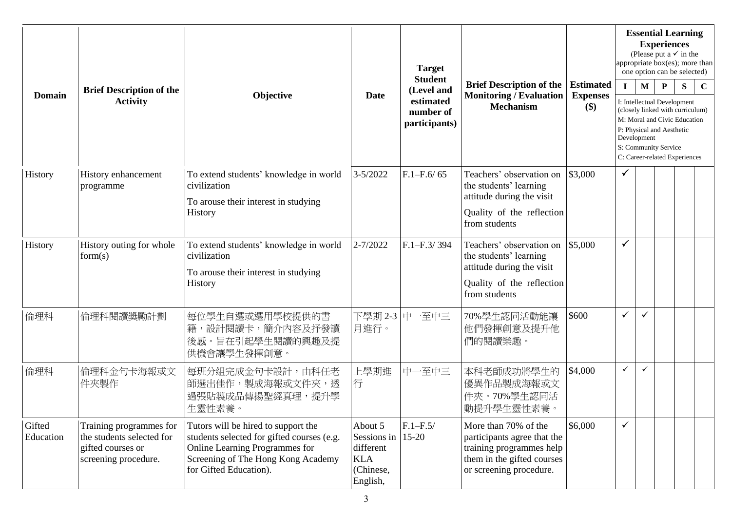| <b>Domain</b>       | <b>Brief Description of the</b>                                                                   |                                                                                                                                                                                     | <b>Target</b>                                                              |                                         |                                                                                                                                          |                                     |              | <b>Essential Learning</b><br><b>Experiences</b><br>(Please put a $\checkmark$ in the<br>appropriate box(es); more than<br>one option can be selected) |                                                                                                                                                                                       |   |             |
|---------------------|---------------------------------------------------------------------------------------------------|-------------------------------------------------------------------------------------------------------------------------------------------------------------------------------------|----------------------------------------------------------------------------|-----------------------------------------|------------------------------------------------------------------------------------------------------------------------------------------|-------------------------------------|--------------|-------------------------------------------------------------------------------------------------------------------------------------------------------|---------------------------------------------------------------------------------------------------------------------------------------------------------------------------------------|---|-------------|
|                     |                                                                                                   | Objective                                                                                                                                                                           | <b>Date</b>                                                                | <b>Student</b><br>(Level and            | <b>Brief Description of the</b><br><b>Monitoring / Evaluation</b>                                                                        | <b>Estimated</b><br><b>Expenses</b> | $\mathbf{I}$ | M                                                                                                                                                     | ${\bf P}$                                                                                                                                                                             | S | $\mathbf C$ |
|                     | <b>Activity</b>                                                                                   |                                                                                                                                                                                     |                                                                            | estimated<br>number of<br>participants) | <b>Mechanism</b>                                                                                                                         | $(\$)$                              |              | Development                                                                                                                                           | I: Intellectual Development<br>(closely linked with curriculum)<br>M: Moral and Civic Education<br>P: Physical and Aesthetic<br>S: Community Service<br>C: Career-related Experiences |   |             |
| History             | History enhancement<br>programme                                                                  | To extend students' knowledge in world<br>civilization                                                                                                                              | $3 - 5/2022$                                                               | $F.1 - F.6/65$                          | Teachers' observation on<br>the students' learning                                                                                       | \$3,000                             | $\checkmark$ |                                                                                                                                                       |                                                                                                                                                                                       |   |             |
|                     |                                                                                                   | To arouse their interest in studying<br>History                                                                                                                                     |                                                                            |                                         | attitude during the visit<br>Quality of the reflection<br>from students                                                                  |                                     |              |                                                                                                                                                       |                                                                                                                                                                                       |   |             |
| History             | History outing for whole<br>form(s)                                                               | To extend students' knowledge in world<br>civilization                                                                                                                              | $2 - 7/2022$                                                               | $F.1 - F.3/394$                         | Teachers' observation on<br>the students' learning<br>attitude during the visit                                                          | \$5,000                             | ✓            |                                                                                                                                                       |                                                                                                                                                                                       |   |             |
|                     |                                                                                                   | To arouse their interest in studying<br>History                                                                                                                                     |                                                                            |                                         | Quality of the reflection<br>from students                                                                                               |                                     |              |                                                                                                                                                       |                                                                                                                                                                                       |   |             |
| 倫理科                 | 倫理科閱讀獎勵計劃                                                                                         | 每位學生自選或選用學校提供的書<br>籍,設計閱讀卡,簡介內容及抒發讀<br>後感。旨在引起學生閱讀的興趣及提<br>供機會讓學生發揮創意。                                                                                                              | 下學期 2-3<br>月進行。                                                            | 中一至中三                                   | 70%學生認同活動能讓<br>他們發揮創意及提升他<br>們的閱讀樂趣。                                                                                                     | \$600                               | ✓            | ✓                                                                                                                                                     |                                                                                                                                                                                       |   |             |
| 倫理科                 | 倫理科金句卡海報或文<br>件夾製作                                                                                | 每班分組完成金句卡設計,由科任老<br>師選出佳作,製成海報或文件夾,透<br>過張貼製成品傳揚聖經真理,提升學<br>生靈性素養。                                                                                                                  | 上學期進<br>行                                                                  | 中一至中三                                   | 本科老師成功將學生的<br>優異作品製成海報或文<br>件夾。70%學生認同活<br>動提升學生靈性素養。                                                                                    | \$4,000                             | ✓            | $\checkmark$                                                                                                                                          |                                                                                                                                                                                       |   |             |
| Gifted<br>Education | Training programmes for<br>the students selected for<br>gifted courses or<br>screening procedure. | Tutors will be hired to support the<br>students selected for gifted courses (e.g.<br>Online Learning Programmes for<br>Screening of The Hong Kong Academy<br>for Gifted Education). | About 5<br>Sessions in<br>different<br><b>KLA</b><br>(Chinese,<br>English, | $F.1 - F.5/$<br>$15 - 20$               | More than 70% of the<br>participants agree that the<br>training programmes help<br>them in the gifted courses<br>or screening procedure. | \$6,000                             | ✓            |                                                                                                                                                       |                                                                                                                                                                                       |   |             |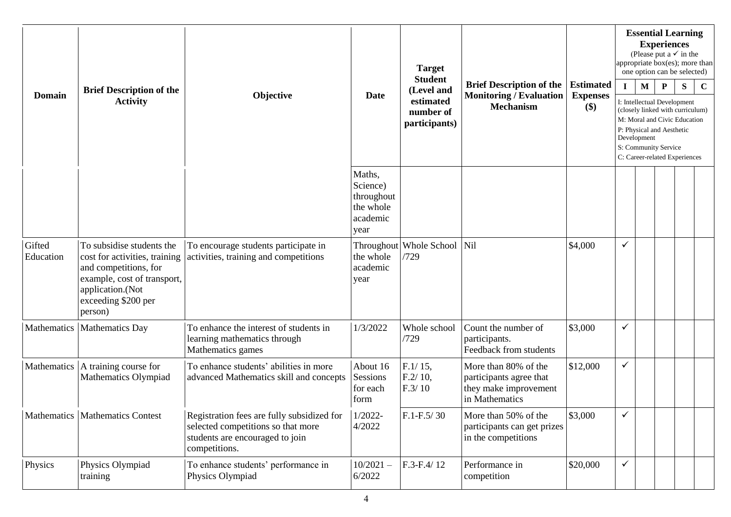| <b>Domain</b>       | <b>Target</b><br><b>Student</b><br><b>Brief Description of the</b><br>(Level and<br><b>Monitoring / Evaluation</b><br>Objective<br><b>Date</b>                           | <b>Brief Description of the</b>                                                                                                      |                                                                   |                                         |                                                                                            |                                     | <b>Essential Learning</b><br><b>Experiences</b><br>(Please put a $\checkmark$ in the<br>appropriate box(es); more than<br>one option can be selected) |             |                                                                                                                                                                                       |   |             |
|---------------------|--------------------------------------------------------------------------------------------------------------------------------------------------------------------------|--------------------------------------------------------------------------------------------------------------------------------------|-------------------------------------------------------------------|-----------------------------------------|--------------------------------------------------------------------------------------------|-------------------------------------|-------------------------------------------------------------------------------------------------------------------------------------------------------|-------------|---------------------------------------------------------------------------------------------------------------------------------------------------------------------------------------|---|-------------|
|                     |                                                                                                                                                                          |                                                                                                                                      |                                                                   |                                         |                                                                                            | <b>Estimated</b><br><b>Expenses</b> |                                                                                                                                                       | M           | $\mathbf P$                                                                                                                                                                           | S | $\mathbf C$ |
|                     | <b>Activity</b>                                                                                                                                                          |                                                                                                                                      |                                                                   | estimated<br>number of<br>participants) | <b>Mechanism</b>                                                                           | $(\$)$                              |                                                                                                                                                       | Development | I: Intellectual Development<br>(closely linked with curriculum)<br>M: Moral and Civic Education<br>P: Physical and Aesthetic<br>S: Community Service<br>C: Career-related Experiences |   |             |
|                     |                                                                                                                                                                          |                                                                                                                                      | Maths,<br>Science)<br>throughout<br>the whole<br>academic<br>year |                                         |                                                                                            |                                     |                                                                                                                                                       |             |                                                                                                                                                                                       |   |             |
| Gifted<br>Education | To subsidise students the<br>cost for activities, training<br>and competitions, for<br>example, cost of transport,<br>application.(Not<br>exceeding \$200 per<br>person) | To encourage students participate in<br>activities, training and competitions                                                        | Throughout<br>the whole<br>academic<br>year                       | <b>Whole School</b><br>/729             | Nil                                                                                        | \$4,000                             | $\checkmark$                                                                                                                                          |             |                                                                                                                                                                                       |   |             |
|                     | Mathematics   Mathematics Day                                                                                                                                            | To enhance the interest of students in<br>learning mathematics through<br>Mathematics games                                          | 1/3/2022                                                          | Whole school<br>/729                    | Count the number of<br>participants.<br>Feedback from students                             | \$3,000                             | $\checkmark$                                                                                                                                          |             |                                                                                                                                                                                       |   |             |
| Mathematics         | A training course for<br>Mathematics Olympiad                                                                                                                            | To enhance students' abilities in more<br>advanced Mathematics skill and concepts                                                    | About 16<br>Sessions<br>for each<br>form                          | $F.1/15$ ,<br>$F.2/10$ ,<br>F.3/10      | More than 80% of the<br>participants agree that<br>they make improvement<br>in Mathematics | \$12,000                            | $\checkmark$                                                                                                                                          |             |                                                                                                                                                                                       |   |             |
|                     | Mathematics   Mathematics Contest                                                                                                                                        | Registration fees are fully subsidized for<br>selected competitions so that more<br>students are encouraged to join<br>competitions. | $1/2022 -$<br>4/2022                                              | $F.1-F.5/30$                            | More than 50% of the<br>participants can get prizes<br>in the competitions                 | \$3,000                             | $\checkmark$                                                                                                                                          |             |                                                                                                                                                                                       |   |             |
| Physics             | Physics Olympiad<br>training                                                                                                                                             | To enhance students' performance in<br>Physics Olympiad                                                                              | $10/2021 -$<br>6/2022                                             | F.3-F.4/12                              | Performance in<br>competition                                                              | \$20,000                            | $\checkmark$                                                                                                                                          |             |                                                                                                                                                                                       |   |             |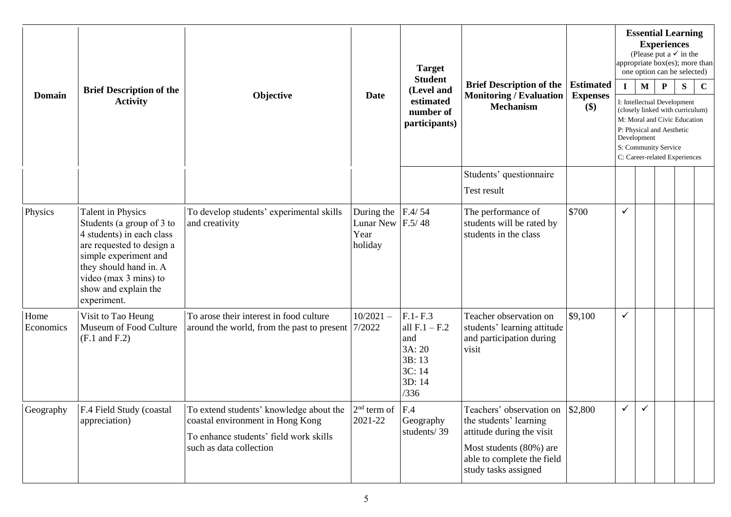| <b>Domain</b>     |                                                                                                                                                                                                                                    |                                                                                                                                                                            |                                                   | <b>Target</b>                                                                         |                                                                                                                                                                  |                                            |              |                             | <b>Essential Learning</b><br><b>Experiences</b><br>(Please put a $\checkmark$ in the<br>appropriate box(es); more than<br>one option can be selected)                                              |   |             |
|-------------------|------------------------------------------------------------------------------------------------------------------------------------------------------------------------------------------------------------------------------------|----------------------------------------------------------------------------------------------------------------------------------------------------------------------------|---------------------------------------------------|---------------------------------------------------------------------------------------|------------------------------------------------------------------------------------------------------------------------------------------------------------------|--------------------------------------------|--------------|-----------------------------|----------------------------------------------------------------------------------------------------------------------------------------------------------------------------------------------------|---|-------------|
|                   | <b>Brief Description of the</b><br><b>Activity</b>                                                                                                                                                                                 | Objective                                                                                                                                                                  | <b>Date</b>                                       | <b>Student</b><br>(Level and<br>estimated<br>number of<br>participants)               | <b>Brief Description of the</b><br><b>Monitoring / Evaluation</b><br><b>Mechanism</b>                                                                            | <b>Estimated</b><br><b>Expenses</b><br>\$) | $\mathbf{I}$ | $\mathbf{M}$<br>Development | ${\bf P}$<br>I: Intellectual Development<br>(closely linked with curriculum)<br>M: Moral and Civic Education<br>P: Physical and Aesthetic<br>S: Community Service<br>C: Career-related Experiences | S | $\mathbf C$ |
|                   |                                                                                                                                                                                                                                    |                                                                                                                                                                            |                                                   |                                                                                       | Students' questionnaire<br>Test result                                                                                                                           |                                            |              |                             |                                                                                                                                                                                                    |   |             |
| Physics           | <b>Talent in Physics</b><br>Students (a group of 3 to<br>4 students) in each class<br>are requested to design a<br>simple experiment and<br>they should hand in. A<br>video (max 3 mins) to<br>show and explain the<br>experiment. | To develop students' experimental skills<br>and creativity                                                                                                                 | During the<br><b>Lunar New</b><br>Year<br>holiday | F.4/54<br>F.5/48                                                                      | The performance of<br>students will be rated by<br>students in the class                                                                                         | \$700                                      | $\checkmark$ |                             |                                                                                                                                                                                                    |   |             |
| Home<br>Economics | Visit to Tao Heung<br>Museum of Food Culture<br>$(F.1 \text{ and } F.2)$                                                                                                                                                           | To arose their interest in food culture<br>around the world, from the past to present   7/2022                                                                             | $10/2021 -$                                       | $F.1 - F.3$<br>all $F.1 - F.2$<br>and<br>3A: 20<br>3B: 13<br>3C: 14<br>3D: 14<br>/336 | Teacher observation on<br>students' learning attitude<br>and participation during<br>visit                                                                       | \$9,100                                    | $\checkmark$ |                             |                                                                                                                                                                                                    |   |             |
| Geography         | F.4 Field Study (coastal<br>appreciation)                                                                                                                                                                                          | To extend students' knowledge about the $ 2^{nd}$ term of $ F.4 $<br>coastal environment in Hong Kong<br>To enhance students' field work skills<br>such as data collection | 2021-22                                           | Geography<br>students/39                                                              | Teachers' observation on<br>the students' learning<br>attitude during the visit<br>Most students (80%) are<br>able to complete the field<br>study tasks assigned | \$2,800                                    | $\checkmark$ | $\checkmark$                |                                                                                                                                                                                                    |   |             |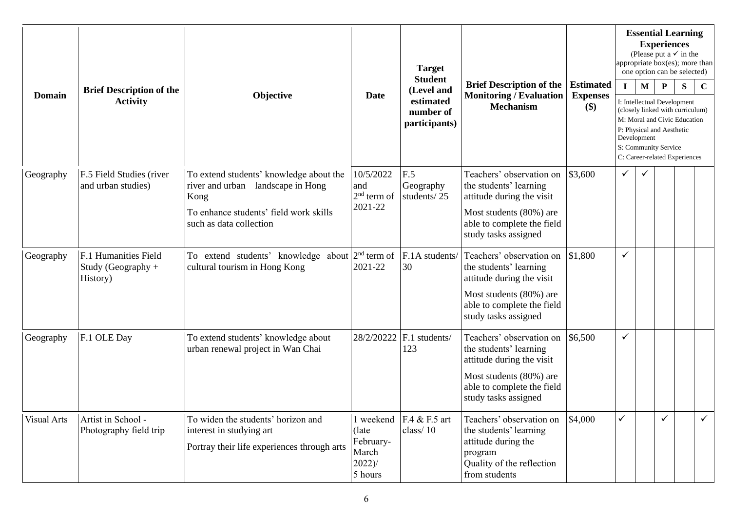| <b>Domain</b>      | <b>Brief Description of the</b><br><b>Activity</b>       |                                                                                                               |                                                      | <b>Target</b>                           |                                                                                                                                                                  |                                     |             |             | <b>Essential Learning</b><br><b>Experiences</b><br>(Please put a $\checkmark$ in the<br>appropriate box(es); more than<br>one option can be selected)                                 |   |              |
|--------------------|----------------------------------------------------------|---------------------------------------------------------------------------------------------------------------|------------------------------------------------------|-----------------------------------------|------------------------------------------------------------------------------------------------------------------------------------------------------------------|-------------------------------------|-------------|-------------|---------------------------------------------------------------------------------------------------------------------------------------------------------------------------------------|---|--------------|
|                    |                                                          | Objective                                                                                                     | <b>Date</b>                                          | <b>Student</b><br>(Level and            | <b>Brief Description of the</b><br><b>Monitoring / Evaluation</b>                                                                                                | <b>Estimated</b><br><b>Expenses</b> | $\mathbf I$ | M           | $\mathbf{P}$                                                                                                                                                                          | S | $\mathbf C$  |
|                    |                                                          |                                                                                                               |                                                      | estimated<br>number of<br>participants) | <b>Mechanism</b>                                                                                                                                                 | \$)                                 |             | Development | I: Intellectual Development<br>(closely linked with curriculum)<br>M: Moral and Civic Education<br>P: Physical and Aesthetic<br>S: Community Service<br>C: Career-related Experiences |   |              |
| Geography          | F.5 Field Studies (river<br>and urban studies)           | To extend students' knowledge about the<br>river and urban landscape in Hong<br>Kong                          | 10/5/2022<br>and<br>$2nd$ term of                    | F.5<br>Geography<br>students/25         | Teachers' observation on<br>the students' learning<br>attitude during the visit                                                                                  | \$3,600                             | ✓           |             |                                                                                                                                                                                       |   |              |
|                    |                                                          | To enhance students' field work skills<br>such as data collection                                             | 2021-22                                              |                                         | Most students (80%) are<br>able to complete the field<br>study tasks assigned                                                                                    |                                     |             |             |                                                                                                                                                                                       |   |              |
| Geography          | F.1 Humanities Field<br>Study (Geography $+$<br>History) | To extend students' knowledge about $2nd$ term of<br>cultural tourism in Hong Kong                            | 2021-22                                              | F.1A students/<br>30                    | Teachers' observation on<br>the students' learning<br>attitude during the visit<br>Most students (80%) are<br>able to complete the field<br>study tasks assigned | \$1,800                             | ✓           |             |                                                                                                                                                                                       |   |              |
| Geography          | F.1 OLE Day                                              | To extend students' knowledge about<br>urban renewal project in Wan Chai                                      | 28/2/20222                                           | F.1 students/<br>123                    | Teachers' observation on<br>the students' learning<br>attitude during the visit                                                                                  | \$6,500                             | ✓           |             |                                                                                                                                                                                       |   |              |
|                    |                                                          |                                                                                                               |                                                      |                                         | Most students (80%) are<br>able to complete the field<br>study tasks assigned                                                                                    |                                     |             |             |                                                                                                                                                                                       |   |              |
| <b>Visual Arts</b> | Artist in School -<br>Photography field trip             | To widen the students' horizon and<br>interest in studying art<br>Portray their life experiences through arts | (late)<br>February-<br>March<br>$2022$ )/<br>5 hours | 1 weekend $FA & F.5$ art<br>class/10    | Teachers' observation on<br>the students' learning<br>attitude during the<br>program<br>Quality of the reflection<br>from students                               | \$4,000                             | ✓           |             | ✓                                                                                                                                                                                     |   | $\checkmark$ |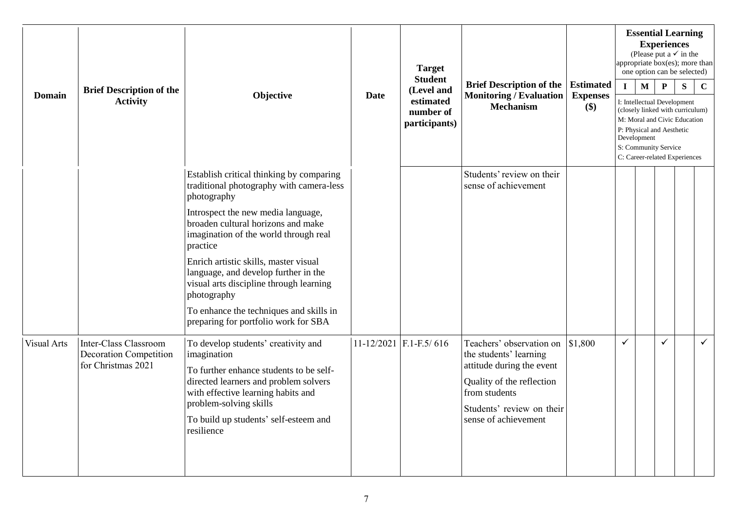| <b>Domain</b>      | <b>Brief Description of the</b><br><b>Activity</b>                           | Objective                                                                                                                                                                                                                                                                                                                                                                                                                                                          | Date | <b>Target</b><br><b>Student</b><br>(Level and<br>estimated<br>number of<br>participants) | <b>Brief Description of the</b><br><b>Monitoring / Evaluation</b><br><b>Mechanism</b>                                                                                              | <b>Estimated</b><br><b>Expenses</b><br>\$) | $\mathbf{I}$ | <b>Essential Learning</b><br>(Please put a $\checkmark$ in the<br>appropriate box(es); more than<br>one option can be selected)<br>$\mathbf M$<br>I: Intellectual Development<br>(closely linked with curriculum)<br>M: Moral and Civic Education<br>P: Physical and Aesthetic<br>Development<br>S: Community Service<br>C: Career-related Experiences | <b>Experiences</b><br>$\mathbf{P}$ | S | $\mathbf C$  |
|--------------------|------------------------------------------------------------------------------|--------------------------------------------------------------------------------------------------------------------------------------------------------------------------------------------------------------------------------------------------------------------------------------------------------------------------------------------------------------------------------------------------------------------------------------------------------------------|------|------------------------------------------------------------------------------------------|------------------------------------------------------------------------------------------------------------------------------------------------------------------------------------|--------------------------------------------|--------------|--------------------------------------------------------------------------------------------------------------------------------------------------------------------------------------------------------------------------------------------------------------------------------------------------------------------------------------------------------|------------------------------------|---|--------------|
|                    |                                                                              | Establish critical thinking by comparing<br>traditional photography with camera-less<br>photography<br>Introspect the new media language,<br>broaden cultural horizons and make<br>imagination of the world through real<br>practice<br>Enrich artistic skills, master visual<br>language, and develop further in the<br>visual arts discipline through learning<br>photography<br>To enhance the techniques and skills in<br>preparing for portfolio work for SBA |      |                                                                                          | Students' review on their<br>sense of achievement                                                                                                                                  |                                            |              |                                                                                                                                                                                                                                                                                                                                                        |                                    |   |              |
| <b>Visual Arts</b> | Inter-Class Classroom<br><b>Decoration Competition</b><br>for Christmas 2021 | To develop students' creativity and<br>imagination<br>To further enhance students to be self-<br>directed learners and problem solvers<br>with effective learning habits and<br>problem-solving skills<br>To build up students' self-esteem and<br>resilience                                                                                                                                                                                                      |      | 11-12/2021 F.1-F.5/616                                                                   | Teachers' observation on<br>the students' learning<br>attitude during the event<br>Quality of the reflection<br>from students<br>Students' review on their<br>sense of achievement | \$1,800                                    | $\checkmark$ |                                                                                                                                                                                                                                                                                                                                                        | $\checkmark$                       |   | $\checkmark$ |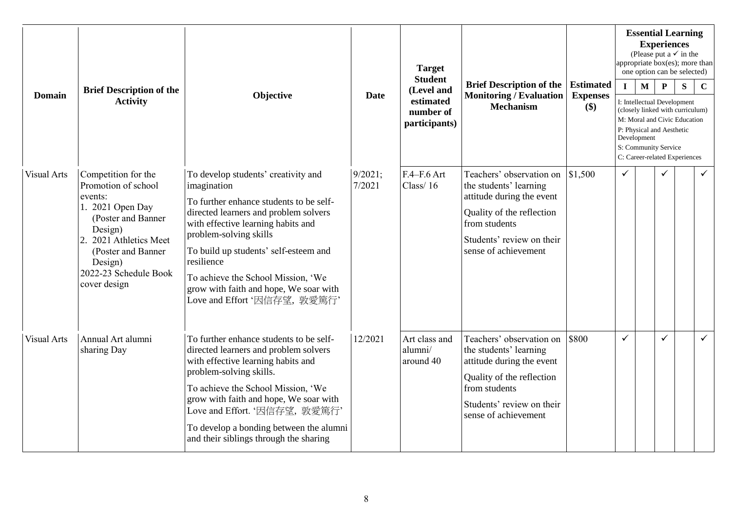| <b>Domain</b>      | <b>Brief Description of the</b>                                                                                                                                                                                     | Objective                                                                                                                                                                                                                                                                                                                                                                     |                   | <b>Target</b><br><b>Student</b>                       |                                                                                                                                                                                    |                                               |              |                             | <b>Experiences</b>                                                | <b>Essential Learning</b><br>(Please put a $\checkmark$ in the<br>appropriate box(es); more than<br>one option can be selected)       |              |
|--------------------|---------------------------------------------------------------------------------------------------------------------------------------------------------------------------------------------------------------------|-------------------------------------------------------------------------------------------------------------------------------------------------------------------------------------------------------------------------------------------------------------------------------------------------------------------------------------------------------------------------------|-------------------|-------------------------------------------------------|------------------------------------------------------------------------------------------------------------------------------------------------------------------------------------|-----------------------------------------------|--------------|-----------------------------|-------------------------------------------------------------------|---------------------------------------------------------------------------------------------------------------------------------------|--------------|
|                    | <b>Activity</b>                                                                                                                                                                                                     |                                                                                                                                                                                                                                                                                                                                                                               | Date              | (Level and<br>estimated<br>number of<br>participants) | <b>Brief Description of the</b><br><b>Monitoring / Evaluation</b><br><b>Mechanism</b>                                                                                              | <b>Estimated</b><br><b>Expenses</b><br>$(\$)$ | $\mathbf{I}$ | $\mathbf{M}$<br>Development | $\mathbf{P}$<br>P: Physical and Aesthetic<br>S: Community Service | S<br>I: Intellectual Development<br>(closely linked with curriculum)<br>M: Moral and Civic Education<br>C: Career-related Experiences | $\mathbf C$  |
| <b>Visual Arts</b> | Competition for the<br>Promotion of school<br>events:<br>1. 2021 Open Day<br>(Poster and Banner)<br>Design)<br>2021 Athletics Meet<br>2.<br>(Poster and Banner)<br>Design)<br>2022-23 Schedule Book<br>cover design | To develop students' creativity and<br>imagination<br>To further enhance students to be self-<br>directed learners and problem solvers<br>with effective learning habits and<br>problem-solving skills<br>To build up students' self-esteem and<br>resilience<br>To achieve the School Mission, 'We<br>grow with faith and hope, We soar with<br>Love and Effort '因信存望, 敦愛篤行' | 9/2021;<br>7/2021 | F.4-F.6 Art<br>Class $/16$                            | Teachers' observation on<br>the students' learning<br>attitude during the event<br>Quality of the reflection<br>from students<br>Students' review on their<br>sense of achievement | \$1,500                                       | ✓            |                             | ✓                                                                 |                                                                                                                                       | $\checkmark$ |
| <b>Visual Arts</b> | Annual Art alumni<br>sharing Day                                                                                                                                                                                    | To further enhance students to be self-<br>directed learners and problem solvers<br>with effective learning habits and<br>problem-solving skills.<br>To achieve the School Mission, 'We<br>grow with faith and hope, We soar with<br>Love and Effort. '因信存望, 敦愛篤行'<br>To develop a bonding between the alumni<br>and their siblings through the sharing                       | 12/2021           | Art class and<br>alumni/<br>around 40                 | Teachers' observation on<br>the students' learning<br>attitude during the event<br>Quality of the reflection<br>from students<br>Students' review on their<br>sense of achievement | \$800                                         | ✓            |                             | $\checkmark$                                                      |                                                                                                                                       | $\checkmark$ |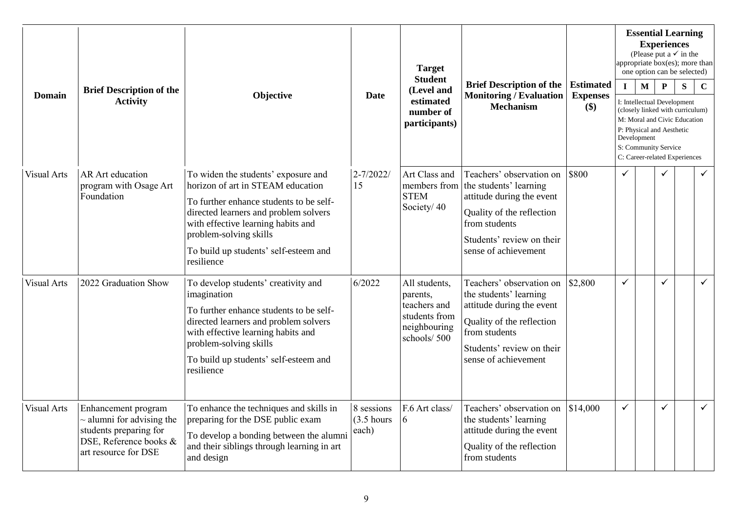| <b>Domain</b>      |                                                                                                                                   |                                                                                                                                                                                                                                                                                     |                                      | <b>Target</b><br><b>Student</b>                                                           |                                                                                                                                                                                    |                                               |              |                             | <b>Experiences</b>                                               | <b>Essential Learning</b><br>(Please put a $\checkmark$ in the<br>appropriate box(es); more than<br>one option can be selected)       |              |
|--------------------|-----------------------------------------------------------------------------------------------------------------------------------|-------------------------------------------------------------------------------------------------------------------------------------------------------------------------------------------------------------------------------------------------------------------------------------|--------------------------------------|-------------------------------------------------------------------------------------------|------------------------------------------------------------------------------------------------------------------------------------------------------------------------------------|-----------------------------------------------|--------------|-----------------------------|------------------------------------------------------------------|---------------------------------------------------------------------------------------------------------------------------------------|--------------|
|                    | <b>Brief Description of the</b><br><b>Activity</b>                                                                                | Objective                                                                                                                                                                                                                                                                           | <b>Date</b>                          | (Level and<br>estimated<br>number of<br>participants)                                     | <b>Brief Description of the</b><br><b>Monitoring / Evaluation</b><br><b>Mechanism</b>                                                                                              | <b>Estimated</b><br><b>Expenses</b><br>$(\$)$ | $\mathbf I$  | $\mathbf{M}$<br>Development | $\mathbf P$<br>P: Physical and Aesthetic<br>S: Community Service | S<br>I: Intellectual Development<br>(closely linked with curriculum)<br>M: Moral and Civic Education<br>C: Career-related Experiences | $\mathbf C$  |
| <b>Visual Arts</b> | <b>AR</b> Art education<br>program with Osage Art<br>Foundation                                                                   | To widen the students' exposure and<br>horizon of art in STEAM education<br>To further enhance students to be self-<br>directed learners and problem solvers<br>with effective learning habits and<br>problem-solving skills<br>To build up students' self-esteem and<br>resilience | $2 - 7/2022/$<br>15                  | Art Class and<br>members from<br><b>STEM</b><br>Society/40                                | Teachers' observation on<br>the students' learning<br>attitude during the event<br>Quality of the reflection<br>from students<br>Students' review on their<br>sense of achievement | \$800                                         | $\checkmark$ |                             | $\checkmark$                                                     |                                                                                                                                       | $\checkmark$ |
| <b>Visual Arts</b> | 2022 Graduation Show                                                                                                              | To develop students' creativity and<br>imagination<br>To further enhance students to be self-<br>directed learners and problem solvers<br>with effective learning habits and<br>problem-solving skills<br>To build up students' self-esteem and<br>resilience                       | 6/2022                               | All students,<br>parents,<br>teachers and<br>students from<br>neighbouring<br>schools/500 | Teachers' observation on<br>the students' learning<br>attitude during the event<br>Quality of the reflection<br>from students<br>Students' review on their<br>sense of achievement | \$2,800                                       | $\checkmark$ |                             | $\checkmark$                                                     |                                                                                                                                       | $\checkmark$ |
| <b>Visual Arts</b> | Enhancement program<br>$\sim$ alumni for advising the<br>students preparing for<br>DSE, Reference books &<br>art resource for DSE | To enhance the techniques and skills in<br>preparing for the DSE public exam<br>To develop a bonding between the alumni<br>and their siblings through learning in art<br>and design                                                                                                 | 8 sessions<br>$(3.5)$ hours<br>each) | F.6 Art class/<br>6                                                                       | Teachers' observation on<br>the students' learning<br>attitude during the event<br>Quality of the reflection<br>from students                                                      | \$14,000                                      | $\checkmark$ |                             | $\checkmark$                                                     |                                                                                                                                       | $\checkmark$ |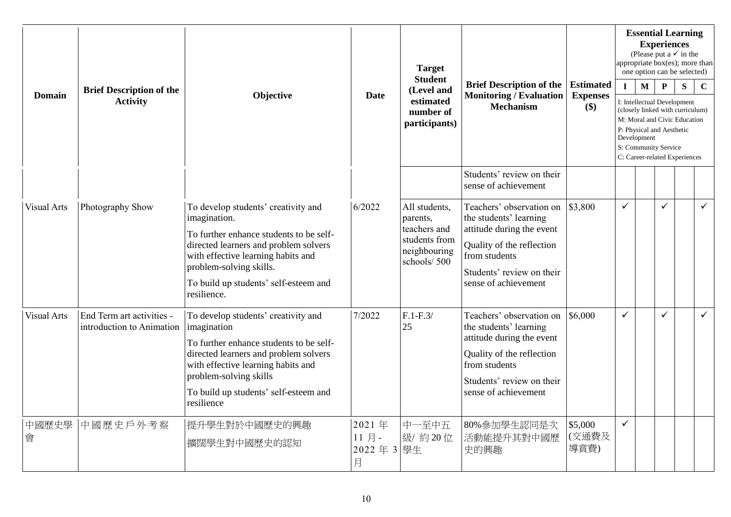| <b>Domain</b>      | <b>Brief Description of the</b><br><b>Activity</b>     | Objective                                                                                                                                                                                                                                                        | Date                           | <b>Target</b><br><b>Student</b><br>(Level and<br>estimated<br>number of<br>participants)  | <b>Brief Description of the</b><br><b>Monitoring / Evaluation</b><br><b>Mechanism</b>                                                                                              | <b>Estimated</b><br><b>Expenses</b><br>\$) | $\mathbf I$  | <b>Essential Learning</b><br>(Please put a $\checkmark$ in the<br>appropriate $\overline{box(es)}$ ; more than<br>one option can be selected)<br>$\mathbf M$<br>I: Intellectual Development<br>(closely linked with curriculum)<br>M: Moral and Civic Education<br>P: Physical and Aesthetic<br>Development<br>S: Community Service<br>C: Career-related Experiences | <b>Experiences</b><br>$\mathbf{P}$ | S | $\mathbf C$  |
|--------------------|--------------------------------------------------------|------------------------------------------------------------------------------------------------------------------------------------------------------------------------------------------------------------------------------------------------------------------|--------------------------------|-------------------------------------------------------------------------------------------|------------------------------------------------------------------------------------------------------------------------------------------------------------------------------------|--------------------------------------------|--------------|----------------------------------------------------------------------------------------------------------------------------------------------------------------------------------------------------------------------------------------------------------------------------------------------------------------------------------------------------------------------|------------------------------------|---|--------------|
|                    |                                                        |                                                                                                                                                                                                                                                                  |                                |                                                                                           | Students' review on their<br>sense of achievement                                                                                                                                  |                                            |              |                                                                                                                                                                                                                                                                                                                                                                      |                                    |   |              |
| <b>Visual Arts</b> | Photography Show                                       | To develop students' creativity and<br>imagination.<br>To further enhance students to be self-<br>directed learners and problem solvers<br>with effective learning habits and<br>problem-solving skills.<br>To build up students' self-esteem and<br>resilience. | 6/2022                         | All students,<br>parents,<br>teachers and<br>students from<br>neighbouring<br>schools/500 | Teachers' observation on<br>the students' learning<br>attitude during the event<br>Quality of the reflection<br>from students<br>Students' review on their<br>sense of achievement | \$3,800                                    | ✓            |                                                                                                                                                                                                                                                                                                                                                                      | ✓                                  |   | $\checkmark$ |
| <b>Visual Arts</b> | End Term art activities -<br>introduction to Animation | To develop students' creativity and<br>imagination<br>To further enhance students to be self-<br>directed learners and problem solvers<br>with effective learning habits and<br>problem-solving skills<br>To build up students' self-esteem and<br>resilience    | 7/2022                         | $F.1-F.3/$<br>25                                                                          | Teachers' observation on<br>the students' learning<br>attitude during the event<br>Quality of the reflection<br>from students<br>Students' review on their<br>sense of achievement | \$6,000                                    | $\checkmark$ |                                                                                                                                                                                                                                                                                                                                                                      | ✓                                  |   | $\checkmark$ |
| 中國歷史學<br>會         | 中國歷史戶外考察                                               | 提升學生對於中國歷史的興趣<br>擴闊學生對中國歷史的認知                                                                                                                                                                                                                                    | 2021年<br>11月-<br>2022年3學生<br>月 | 中一至中五<br>級/約20位                                                                           | 80%參加學生認同是次<br>活動能提升其對中國歷<br>史的興趣                                                                                                                                                  | \$5,000<br>(交通費及<br>導賞費)                   | $\checkmark$ |                                                                                                                                                                                                                                                                                                                                                                      |                                    |   |              |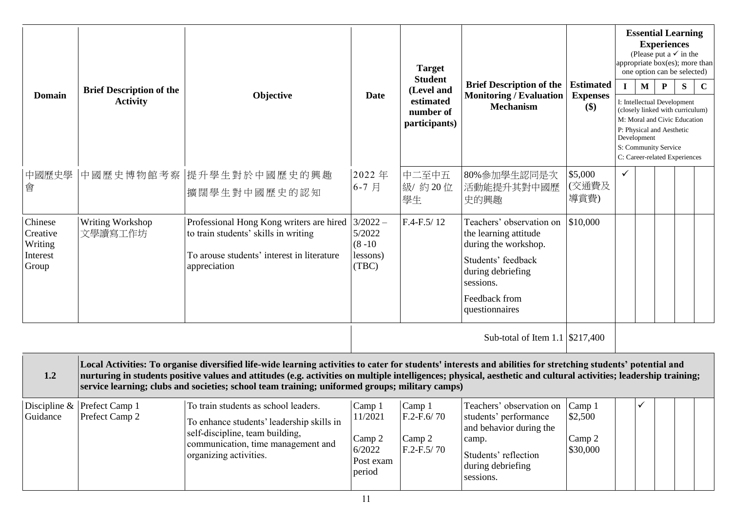| <b>Domain</b>                                       | <b>Brief Description of the</b><br><b>Activity</b> | Objective                                                                                                                                                                                                                                                                                                                                                                                                                            | Date                                                         | <b>Target</b><br><b>Student</b><br>(Level and<br>estimated<br>number of<br>participants) | <b>Brief Description of the</b><br><b>Monitoring / Evaluation</b><br><b>Mechanism</b>                                                                                | <b>Estimated</b><br><b>Expenses</b><br>\$) | $\mathbf I$  | $\mathbf{M}$<br>Development | <b>Experiences</b><br>${\bf P}$<br>I: Intellectual Development<br>P: Physical and Aesthetic<br>S: Community Service | <b>Essential Learning</b><br>(Please put a $\checkmark$ in the<br>appropriate box(es); more than<br>one option can be selected)<br>S<br>(closely linked with curriculum)<br>M: Moral and Civic Education<br>C: Career-related Experiences | $\mathbf C$ |
|-----------------------------------------------------|----------------------------------------------------|--------------------------------------------------------------------------------------------------------------------------------------------------------------------------------------------------------------------------------------------------------------------------------------------------------------------------------------------------------------------------------------------------------------------------------------|--------------------------------------------------------------|------------------------------------------------------------------------------------------|----------------------------------------------------------------------------------------------------------------------------------------------------------------------|--------------------------------------------|--------------|-----------------------------|---------------------------------------------------------------------------------------------------------------------|-------------------------------------------------------------------------------------------------------------------------------------------------------------------------------------------------------------------------------------------|-------------|
| 中國歷史學<br>會                                          | 中國歷史博物館考察                                          | 提升學生對於中國歷史的興趣<br>擴闊學生對中國歷史的認知                                                                                                                                                                                                                                                                                                                                                                                                        | 2022年<br>6-7月                                                | 中二至中五<br>級/約20位<br>學生                                                                    | 80%參加學生認同是次<br>活動能提升其對中國歷<br>史的興趣                                                                                                                                    | \$5,000<br>(交通費及<br>導賞費)                   | $\checkmark$ |                             |                                                                                                                     |                                                                                                                                                                                                                                           |             |
| Chinese<br>Creative<br>Writing<br>Interest<br>Group | Writing Workshop<br>文學讀寫工作坊                        | Professional Hong Kong writers are hired<br>to train students' skills in writing<br>To arouse students' interest in literature<br>appreciation                                                                                                                                                                                                                                                                                       | $3/2022 -$<br>5/2022<br>$(8 - 10)$<br>lessons)<br>(TBC)      | F.4-F.5/12                                                                               | Teachers' observation on<br>the learning attitude<br>during the workshop.<br>Students' feedback<br>during debriefing<br>sessions.<br>Feedback from<br>questionnaires | \$10,000                                   |              |                             |                                                                                                                     |                                                                                                                                                                                                                                           |             |
|                                                     |                                                    |                                                                                                                                                                                                                                                                                                                                                                                                                                      |                                                              |                                                                                          | Sub-total of Item 1.1 \\$217,400                                                                                                                                     |                                            |              |                             |                                                                                                                     |                                                                                                                                                                                                                                           |             |
| 1.2                                                 |                                                    | Local Activities: To organise diversified life-wide learning activities to cater for students' interests and abilities for stretching students' potential and<br>nurturing in students positive values and attitudes (e.g. activities on multiple intelligences; physical, aesthetic and cultural activities; leadership training;<br>service learning; clubs and societies; school team training; uniformed groups; military camps) |                                                              |                                                                                          |                                                                                                                                                                      |                                            |              |                             |                                                                                                                     |                                                                                                                                                                                                                                           |             |
| Guidance                                            | Discipline $\&$ Prefect Camp 1<br>Prefect Camp 2   | To train students as school leaders.<br>To enhance students' leadership skills in<br>self-discipline, team building,<br>communication, time management and<br>organizing activities.                                                                                                                                                                                                                                                 | Camp 1<br>11/2021<br>Camp 2<br>6/2022<br>Post exam<br>period | Camp 1<br>$F.2-F.6/70$<br>Camp 2<br>$F.2-F.5/70$                                         | Teachers' observation on Camp 1<br>students' performance<br>and behavior during the<br>camp.<br>Students' reflection<br>during debriefing<br>sessions.               | \$2,500<br>Camp 2<br>\$30,000              |              | ✓                           |                                                                                                                     |                                                                                                                                                                                                                                           |             |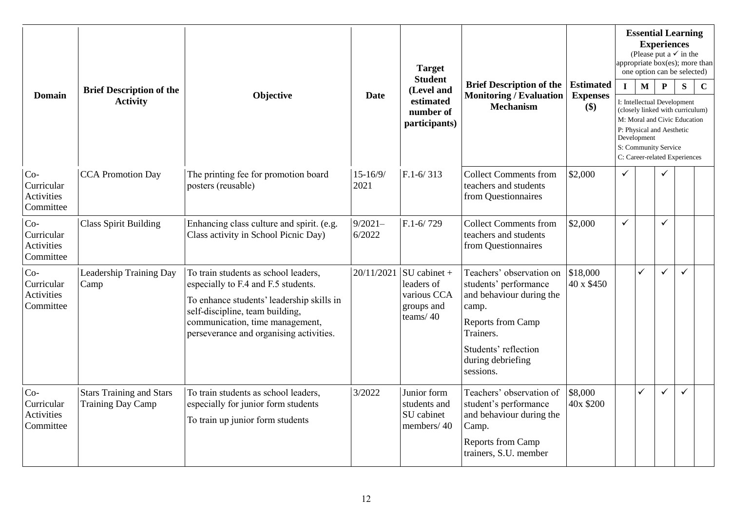| <b>Domain</b>                                  | <b>Brief Description of the</b><br><b>Activity</b>          | Objective                                                                                                                                                                                                                                 | <b>Date</b>          | <b>Target</b><br><b>Student</b><br>(Level and<br>estimated<br>number of     | <b>Brief Description of the</b><br><b>Monitoring / Evaluation</b><br><b>Mechanism</b>                                                                                                     | <b>Estimated</b><br><b>Expenses</b><br>\$) | $\mathbf{I}$ | $\mathbf{M}$ | <b>Essential Learning</b><br><b>Experiences</b><br>(Please put a $\checkmark$ in the<br>appropriate $box(es)$ ; more than<br>one option can be selected)<br>$\mathbf{P}$<br>I: Intellectual Development<br>(closely linked with curriculum) | ${\bf S}$    | $\mathbf C$ |
|------------------------------------------------|-------------------------------------------------------------|-------------------------------------------------------------------------------------------------------------------------------------------------------------------------------------------------------------------------------------------|----------------------|-----------------------------------------------------------------------------|-------------------------------------------------------------------------------------------------------------------------------------------------------------------------------------------|--------------------------------------------|--------------|--------------|---------------------------------------------------------------------------------------------------------------------------------------------------------------------------------------------------------------------------------------------|--------------|-------------|
|                                                |                                                             |                                                                                                                                                                                                                                           |                      | participants)                                                               |                                                                                                                                                                                           |                                            |              | Development  | M: Moral and Civic Education<br>P: Physical and Aesthetic<br>S: Community Service<br>C: Career-related Experiences                                                                                                                          |              |             |
| $Co-$<br>Curricular<br>Activities<br>Committee | <b>CCA</b> Promotion Day                                    | The printing fee for promotion board<br>posters (reusable)                                                                                                                                                                                | $15 - 16/9/$<br>2021 | $F.1 - 6/313$                                                               | <b>Collect Comments from</b><br>teachers and students<br>from Questionnaires                                                                                                              | \$2,000                                    | $\checkmark$ |              |                                                                                                                                                                                                                                             |              |             |
| $Co-$<br>Curricular<br>Activities<br>Committee | <b>Class Spirit Building</b>                                | Enhancing class culture and spirit. (e.g.<br>Class activity in School Picnic Day)                                                                                                                                                         | $9/2021 -$<br>6/2022 | $F.1 - 6/729$                                                               | <b>Collect Comments from</b><br>teachers and students<br>from Questionnaires                                                                                                              | \$2,000                                    | $\checkmark$ |              | ✓                                                                                                                                                                                                                                           |              |             |
| $Co-$<br>Curricular<br>Activities<br>Committee | Leadership Training Day<br>Camp                             | To train students as school leaders,<br>especially to F.4 and F.5 students.<br>To enhance students' leadership skills in<br>self-discipline, team building,<br>communication, time management,<br>perseverance and organising activities. | 20/11/2021           | $\vert$ SU cabinet +<br>leaders of<br>various CCA<br>groups and<br>teams/40 | Teachers' observation on<br>students' performance<br>and behaviour during the<br>camp.<br><b>Reports from Camp</b><br>Trainers.<br>Students' reflection<br>during debriefing<br>sessions. | \$18,000<br>40 x \$450                     |              | ✓            | ✓                                                                                                                                                                                                                                           | $\checkmark$ |             |
| $Co-$<br>Curricular<br>Activities<br>Committee | <b>Stars Training and Stars</b><br><b>Training Day Camp</b> | To train students as school leaders,<br>especially for junior form students<br>To train up junior form students                                                                                                                           | 3/2022               | Junior form<br>students and<br>SU cabinet<br>members/40                     | Teachers' observation of<br>student's performance<br>and behaviour during the<br>Camp.<br><b>Reports from Camp</b><br>trainers, S.U. member                                               | \$8,000<br>40x \$200                       |              | ✓            | ✓                                                                                                                                                                                                                                           | $\checkmark$ |             |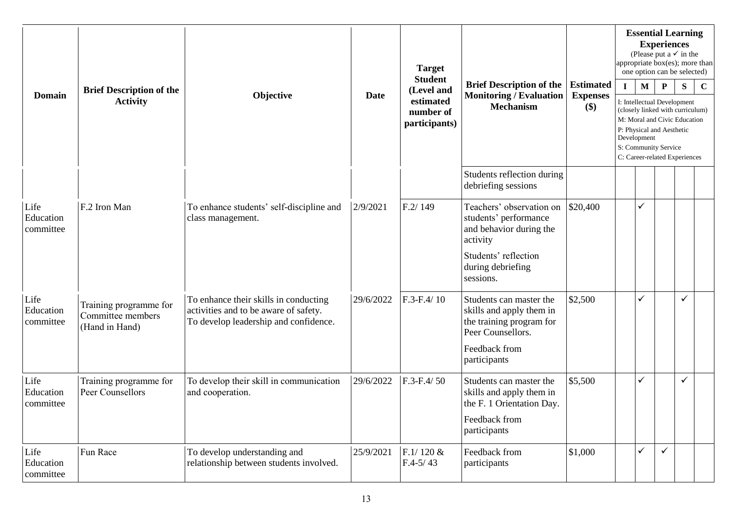| <b>Domain</b>                  | <b>Target</b><br><b>Student</b><br><b>Brief Description of the</b><br><b>Brief Description of the</b><br>(Level and |                                                                                                                         |             |                              |                                                                                                      | <b>Essential Learning</b><br>(Please put a $\checkmark$ in the<br>appropriate box(es); more than<br>one option can be selected) | <b>Experiences</b> |                                                                                                                 |              |              |             |
|--------------------------------|---------------------------------------------------------------------------------------------------------------------|-------------------------------------------------------------------------------------------------------------------------|-------------|------------------------------|------------------------------------------------------------------------------------------------------|---------------------------------------------------------------------------------------------------------------------------------|--------------------|-----------------------------------------------------------------------------------------------------------------|--------------|--------------|-------------|
|                                | <b>Activity</b>                                                                                                     | Objective                                                                                                               | <b>Date</b> | estimated<br>number of       | <b>Monitoring / Evaluation</b><br><b>Mechanism</b>                                                   | <b>Estimated</b><br><b>Expenses</b><br>$(\$)$                                                                                   | $\mathbf{I}$       | $\mathbf{M}$<br>I: Intellectual Development<br>(closely linked with curriculum)<br>M: Moral and Civic Education | P            | ${\bf S}$    | $\mathbf C$ |
|                                |                                                                                                                     |                                                                                                                         |             | participants)                |                                                                                                      |                                                                                                                                 |                    | P: Physical and Aesthetic<br>Development<br>S: Community Service<br>C: Career-related Experiences               |              |              |             |
|                                |                                                                                                                     |                                                                                                                         |             |                              | Students reflection during<br>debriefing sessions                                                    |                                                                                                                                 |                    |                                                                                                                 |              |              |             |
| Life<br>Education<br>committee | F.2 Iron Man                                                                                                        | To enhance students' self-discipline and<br>class management.                                                           | 2/9/2021    | F.2/149                      | Teachers' observation on<br>students' performance<br>and behavior during the<br>activity             | \$20,400                                                                                                                        |                    | ✓                                                                                                               |              |              |             |
|                                |                                                                                                                     |                                                                                                                         |             |                              | Students' reflection<br>during debriefing<br>sessions.                                               |                                                                                                                                 |                    |                                                                                                                 |              |              |             |
| Life<br>Education<br>committee | Training programme for<br>Committee members<br>(Hand in Hand)                                                       | To enhance their skills in conducting<br>activities and to be aware of safety.<br>To develop leadership and confidence. | 29/6/2022   | $F.3-F.4/10$                 | Students can master the<br>skills and apply them in<br>the training program for<br>Peer Counsellors. | \$2,500                                                                                                                         |                    | ✓                                                                                                               |              | $\checkmark$ |             |
|                                |                                                                                                                     |                                                                                                                         |             |                              | Feedback from<br>participants                                                                        |                                                                                                                                 |                    |                                                                                                                 |              |              |             |
| Life<br>Education<br>committee | Training programme for<br>Peer Counsellors                                                                          | To develop their skill in communication<br>and cooperation.                                                             | 29/6/2022   | $F.3-F.4/50$                 | Students can master the<br>skills and apply them in<br>the F. 1 Orientation Day.                     | \$5,500                                                                                                                         |                    | ✓                                                                                                               |              | $\checkmark$ |             |
|                                |                                                                                                                     |                                                                                                                         |             |                              | Feedback from<br>participants                                                                        |                                                                                                                                 |                    |                                                                                                                 |              |              |             |
| Life<br>Education<br>committee | Fun Race                                                                                                            | To develop understanding and<br>relationship between students involved.                                                 | 25/9/2021   | $F.1/120 \&$<br>$F.4 - 5/43$ | Feedback from<br>participants                                                                        | \$1,000                                                                                                                         |                    | ✓                                                                                                               | $\checkmark$ |              |             |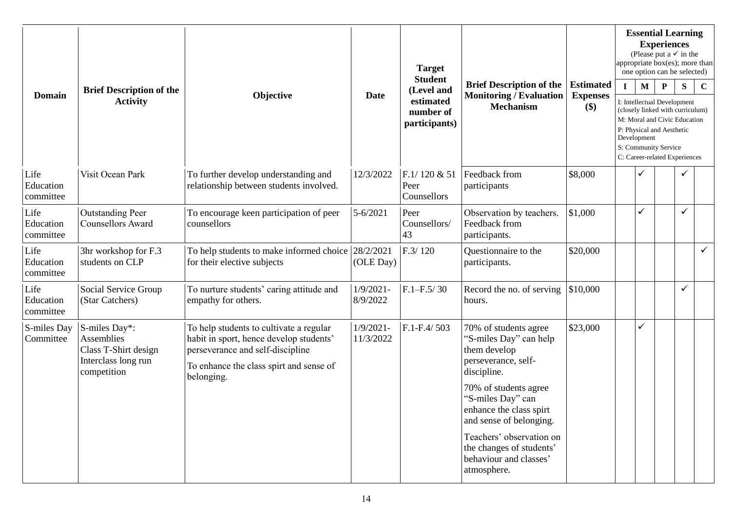| <b>Domain</b>                  | <b>Brief Description of the</b>                                                                  |                                                                                                                                                                                 |                           | <b>Target</b><br><b>Student</b>                       |                                                                                                       |                                            |              |             | <b>Essential Learning</b><br><b>Experiences</b><br>(Please put a $\checkmark$ in the<br>appropriate box(es); more than<br>one option can be selected) |              |              |
|--------------------------------|--------------------------------------------------------------------------------------------------|---------------------------------------------------------------------------------------------------------------------------------------------------------------------------------|---------------------------|-------------------------------------------------------|-------------------------------------------------------------------------------------------------------|--------------------------------------------|--------------|-------------|-------------------------------------------------------------------------------------------------------------------------------------------------------|--------------|--------------|
|                                | <b>Activity</b>                                                                                  | Objective                                                                                                                                                                       | <b>Date</b>               | (Level and<br>estimated<br>number of<br>participants) | <b>Brief Description of the</b><br><b>Monitoring / Evaluation</b><br><b>Mechanism</b>                 | <b>Estimated</b><br><b>Expenses</b><br>\$) | $\mathbf{I}$ | M           | $\mathbf{P}$<br>I: Intellectual Development<br>(closely linked with curriculum)<br>M: Moral and Civic Education                                       | S            | $\mathbf C$  |
|                                |                                                                                                  |                                                                                                                                                                                 |                           |                                                       |                                                                                                       |                                            |              | Development | P: Physical and Aesthetic<br>S: Community Service<br>C: Career-related Experiences                                                                    |              |              |
| Life<br>Education<br>committee | Visit Ocean Park                                                                                 | To further develop understanding and<br>relationship between students involved.                                                                                                 | 12/3/2022                 | F.1/120 & 51<br>Peer<br>Counsellors                   | Feedback from<br>participants                                                                         | \$8,000                                    |              |             |                                                                                                                                                       | $\checkmark$ |              |
| Life<br>Education<br>committee | <b>Outstanding Peer</b><br>Counsellors Award                                                     | To encourage keen participation of peer<br>counsellors                                                                                                                          | 5-6/2021                  | Peer<br>Counsellors/<br>43                            | Observation by teachers.<br>Feedback from<br>participants.                                            | \$1,000                                    |              | ✓           |                                                                                                                                                       | $\checkmark$ |              |
| Life<br>Education<br>committee | 3hr workshop for F.3<br>students on CLP                                                          | To help students to make informed choice 28/2/2021<br>for their elective subjects                                                                                               | (OLE Day)                 | F.3/120                                               | Questionnaire to the<br>participants.                                                                 | \$20,000                                   |              |             |                                                                                                                                                       |              | $\checkmark$ |
| Life<br>Education<br>committee | Social Service Group<br>(Star Catchers)                                                          | To nurture students' caring attitude and<br>empathy for others.                                                                                                                 | $1/9/2021 -$<br>8/9/2022  | $F.1 - F.5/30$                                        | Record the no. of serving<br>hours.                                                                   | \$10,000                                   |              |             |                                                                                                                                                       | $\checkmark$ |              |
| S-miles Day<br>Committee       | S-miles Day*:<br><b>Assemblies</b><br>Class T-Shirt design<br>Interclass long run<br>competition | To help students to cultivate a regular<br>habit in sport, hence develop students'<br>perseverance and self-discipline<br>To enhance the class spirt and sense of<br>belonging. | $1/9/2021 -$<br>11/3/2022 | $F.1-F.4/503$                                         | 70% of students agree<br>"S-miles Day" can help<br>them develop<br>perseverance, self-<br>discipline. | \$23,000                                   |              | ✓           |                                                                                                                                                       |              |              |
|                                |                                                                                                  |                                                                                                                                                                                 |                           |                                                       | 70% of students agree<br>"S-miles Day" can<br>enhance the class spirt<br>and sense of belonging.      |                                            |              |             |                                                                                                                                                       |              |              |
|                                |                                                                                                  |                                                                                                                                                                                 |                           |                                                       | Teachers' observation on<br>the changes of students'<br>behaviour and classes'<br>atmosphere.         |                                            |              |             |                                                                                                                                                       |              |              |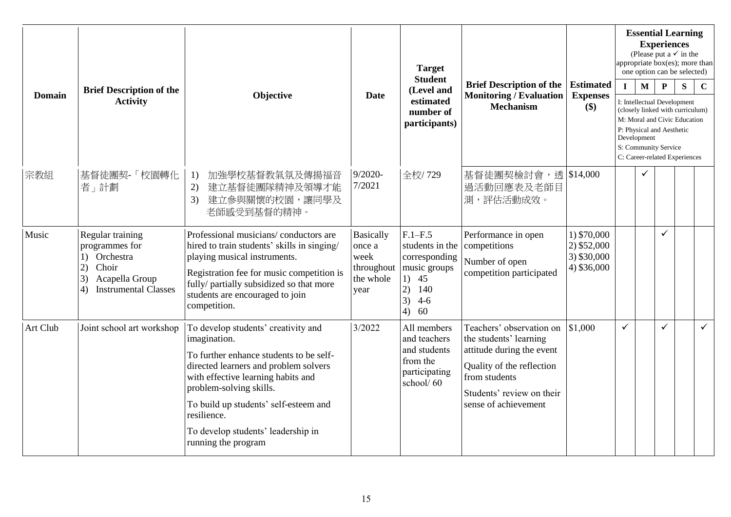| <b>Domain</b> | <b>Brief Description of the</b>                                                                                                   | Objective                                                                                                                                                                                                                                                                                                                     |                                                                       | <b>Target</b><br><b>Student</b>                                                                                   | <b>Brief Description of the</b>                                                                                                                                                    | <b>Estimated</b>                                           | $\mathbf{I}$ | $\mathbf M$  | <b>Essential Learning</b><br><b>Experiences</b><br>(Please put a $\checkmark$ in the<br>appropriate box(es); more than<br>one option can be selected)<br>${\bf P}$                    | S | $\mathbf C$  |
|---------------|-----------------------------------------------------------------------------------------------------------------------------------|-------------------------------------------------------------------------------------------------------------------------------------------------------------------------------------------------------------------------------------------------------------------------------------------------------------------------------|-----------------------------------------------------------------------|-------------------------------------------------------------------------------------------------------------------|------------------------------------------------------------------------------------------------------------------------------------------------------------------------------------|------------------------------------------------------------|--------------|--------------|---------------------------------------------------------------------------------------------------------------------------------------------------------------------------------------|---|--------------|
|               | <b>Activity</b>                                                                                                                   |                                                                                                                                                                                                                                                                                                                               | Date                                                                  | (Level and<br>estimated<br>number of<br>participants)                                                             | <b>Monitoring / Evaluation</b><br><b>Mechanism</b>                                                                                                                                 | <b>Expenses</b><br>\$)                                     |              | Development  | I: Intellectual Development<br>(closely linked with curriculum)<br>M: Moral and Civic Education<br>P: Physical and Aesthetic<br>S: Community Service<br>C: Career-related Experiences |   |              |
| 宗教組           | 基督徒團契-「校園轉化<br>者」計劃                                                                                                               | 加強學校基督教氣氛及傳揚福音<br>1)<br>2)<br>建立基督徒團隊精神及領導才能<br>建立參與關懷的校園,讓同學及<br>3)<br>老師感受到基督的精神。                                                                                                                                                                                                                                           | $9/2020 -$<br>7/2021                                                  | 全校/729                                                                                                            | 基督徒團契檢討會,透 \\$14,000<br>過活動回應表及老師目<br>測,評估活動成效。                                                                                                                                    |                                                            |              | $\checkmark$ |                                                                                                                                                                                       |   |              |
| Music         | Regular training<br>programmes for<br>Orchestra<br>1)<br>Choir<br>2)<br>3)<br>Acapella Group<br><b>Instrumental Classes</b><br>4) | Professional musicians/conductors are<br>hired to train students' skills in singing/<br>playing musical instruments.<br>Registration fee for music competition is<br>fully/ partially subsidized so that more<br>students are encouraged to join<br>competition.                                                              | <b>Basically</b><br>once a<br>week<br>throughout<br>the whole<br>year | $F.1-F.5$<br>students in the<br>corresponding<br>music groups<br>1)<br>45<br>2)<br>140<br>3)<br>$4-6$<br>60<br>4) | Performance in open<br>competitions<br>Number of open<br>competition participated                                                                                                  | 1) \$70,000<br>$2)$ \$52,000<br>3) \$30,000<br>4) \$36,000 |              |              | ✓                                                                                                                                                                                     |   |              |
| Art Club      | Joint school art workshop                                                                                                         | To develop students' creativity and<br>imagination.<br>To further enhance students to be self-<br>directed learners and problem solvers<br>with effective learning habits and<br>problem-solving skills.<br>To build up students' self-esteem and<br>resilience.<br>To develop students' leadership in<br>running the program | 3/2022                                                                | All members<br>and teachers<br>and students<br>from the<br>participating<br>school/60                             | Teachers' observation on<br>the students' learning<br>attitude during the event<br>Quality of the reflection<br>from students<br>Students' review on their<br>sense of achievement | \$1,000                                                    | $\checkmark$ |              | ✓                                                                                                                                                                                     |   | $\checkmark$ |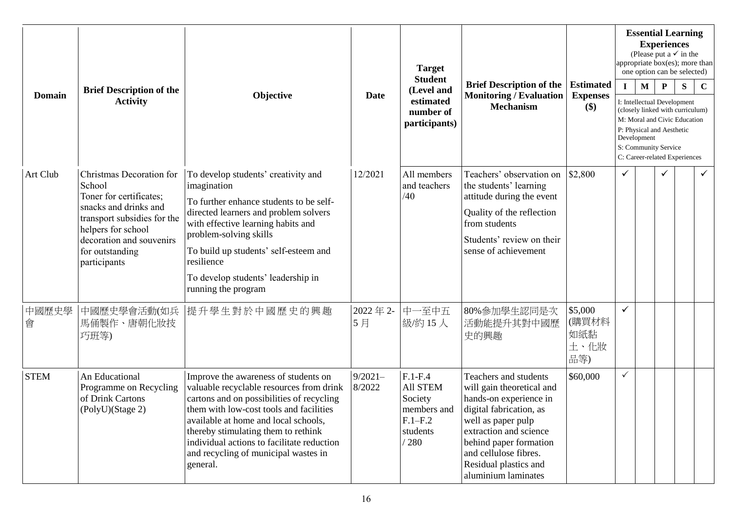| <b>Domain</b> | <b>Brief Description of the</b><br>Objective<br><b>Date</b><br><b>Activity</b>                                                                                                                             |                                                                                                                                                                                                                                                                                                                                                           | <b>Target</b><br><b>Student</b> | <b>Brief Description of the</b>                                                         | <b>Estimated</b>                                                                                                                                                                                                                                           |                                        |              | <b>Essential Learning</b><br><b>Experiences</b><br>(Please put a $\checkmark$ in the<br>appropriate box(es); more than<br>one option can be selected) |                                                                                                                                                                                                       |   |              |
|---------------|------------------------------------------------------------------------------------------------------------------------------------------------------------------------------------------------------------|-----------------------------------------------------------------------------------------------------------------------------------------------------------------------------------------------------------------------------------------------------------------------------------------------------------------------------------------------------------|---------------------------------|-----------------------------------------------------------------------------------------|------------------------------------------------------------------------------------------------------------------------------------------------------------------------------------------------------------------------------------------------------------|----------------------------------------|--------------|-------------------------------------------------------------------------------------------------------------------------------------------------------|-------------------------------------------------------------------------------------------------------------------------------------------------------------------------------------------------------|---|--------------|
|               |                                                                                                                                                                                                            |                                                                                                                                                                                                                                                                                                                                                           |                                 | (Level and<br>estimated<br>number of<br>participants)                                   | <b>Monitoring / Evaluation</b><br><b>Mechanism</b>                                                                                                                                                                                                         | <b>Expenses</b><br>\$)                 | $\mathbf{I}$ | $\mathbf{M}$<br>Development                                                                                                                           | $\mathbf{P}$<br>I: Intellectual Development<br>(closely linked with curriculum)<br>M: Moral and Civic Education<br>P: Physical and Aesthetic<br>S: Community Service<br>C: Career-related Experiences | S | $\mathbf C$  |
| Art Club      | Christmas Decoration for<br>School<br>Toner for certificates;<br>snacks and drinks and<br>transport subsidies for the<br>helpers for school<br>decoration and souvenirs<br>for outstanding<br>participants | To develop students' creativity and<br>imagination<br>To further enhance students to be self-<br>directed learners and problem solvers<br>with effective learning habits and<br>problem-solving skills<br>To build up students' self-esteem and<br>resilience<br>To develop students' leadership in<br>running the program                                | 12/2021                         | All members<br>and teachers<br>/40                                                      | Teachers' observation on<br>the students' learning<br>attitude during the event<br>Quality of the reflection<br>from students<br>Students' review on their<br>sense of achievement                                                                         | \$2,800                                |              |                                                                                                                                                       |                                                                                                                                                                                                       |   | $\checkmark$ |
| 中國歷史學<br>會    | 中國歷史學會活動(如兵<br>馬俑製作、唐朝化妝技<br>巧班等)                                                                                                                                                                          | 提升學生對於中國歷史的興趣                                                                                                                                                                                                                                                                                                                                             | 2022年2-<br>5月                   | 中一至中五<br> 級/約15人                                                                        | 80%參加學生認同是次<br>活動能提升其對中國歷<br>史的興趣                                                                                                                                                                                                                          | \$5,000<br>(購買材料<br>如紙黏<br>土、化妝<br>品等) | $\checkmark$ |                                                                                                                                                       |                                                                                                                                                                                                       |   |              |
| <b>STEM</b>   | An Educational<br>Programme on Recycling<br>of Drink Cartons<br>(PolyU)(Stage 2)                                                                                                                           | Improve the awareness of students on<br>valuable recyclable resources from drink<br>cartons and on possibilities of recycling<br>them with low-cost tools and facilities<br>available at home and local schools,<br>thereby stimulating them to rethink<br>individual actions to facilitate reduction<br>and recycling of municipal wastes in<br>general. | $9/2021-$<br>8/2022             | $F.1-F.4$<br><b>All STEM</b><br>Society<br>members and<br>$F.1-F.2$<br>students<br>/280 | Teachers and students<br>will gain theoretical and<br>hands-on experience in<br>digital fabrication, as<br>well as paper pulp<br>extraction and science<br>behind paper formation<br>and cellulose fibres.<br>Residual plastics and<br>aluminium laminates | \$60,000                               | ✓            |                                                                                                                                                       |                                                                                                                                                                                                       |   |              |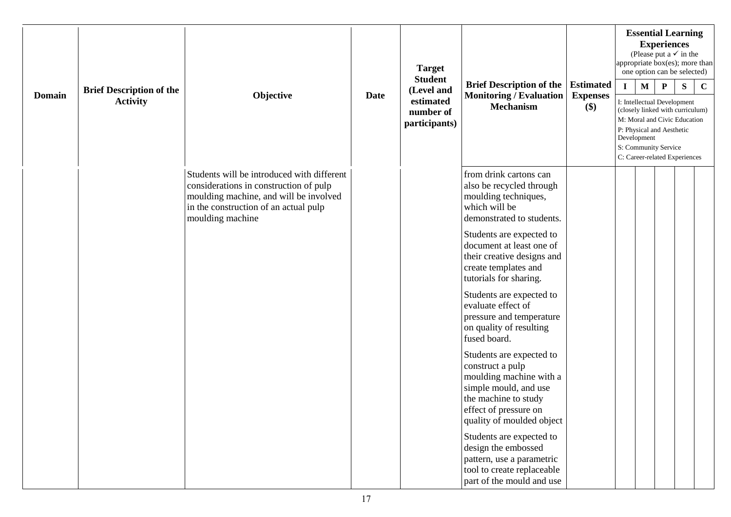|               |                                                    |                                                                                                                                                                                             |             | <b>Target</b><br><b>Student</b>                       |                                                                                                                                                                                                                                                                                                                                                                                                                                                                                                                                                                                                                                                                                                                        |                                            | appropriate box(es); more than<br>one option can be selected)                                                   |              | <b>Essential Learning</b><br><b>Experiences</b><br>(Please put a $\checkmark$ in the |           |             |
|---------------|----------------------------------------------------|---------------------------------------------------------------------------------------------------------------------------------------------------------------------------------------------|-------------|-------------------------------------------------------|------------------------------------------------------------------------------------------------------------------------------------------------------------------------------------------------------------------------------------------------------------------------------------------------------------------------------------------------------------------------------------------------------------------------------------------------------------------------------------------------------------------------------------------------------------------------------------------------------------------------------------------------------------------------------------------------------------------------|--------------------------------------------|-----------------------------------------------------------------------------------------------------------------|--------------|--------------------------------------------------------------------------------------|-----------|-------------|
| <b>Domain</b> | <b>Brief Description of the</b><br><b>Activity</b> | Objective                                                                                                                                                                                   | <b>Date</b> | (Level and<br>estimated<br>number of<br>participants) | <b>Brief Description of the</b><br><b>Monitoring / Evaluation</b><br><b>Mechanism</b>                                                                                                                                                                                                                                                                                                                                                                                                                                                                                                                                                                                                                                  | <b>Estimated</b><br><b>Expenses</b><br>\$) | $\mathbf{I}$<br>I: Intellectual Development<br>(closely linked with curriculum)<br>M: Moral and Civic Education | $\mathbf{M}$ | $\mathbf{P}$                                                                         | ${\bf S}$ | $\mathbf C$ |
|               |                                                    |                                                                                                                                                                                             |             |                                                       |                                                                                                                                                                                                                                                                                                                                                                                                                                                                                                                                                                                                                                                                                                                        |                                            | P: Physical and Aesthetic<br>Development<br>S: Community Service<br>C: Career-related Experiences               |              |                                                                                      |           |             |
|               |                                                    | Students will be introduced with different<br>considerations in construction of pulp<br>moulding machine, and will be involved<br>in the construction of an actual pulp<br>moulding machine |             |                                                       | from drink cartons can<br>also be recycled through<br>moulding techniques,<br>which will be<br>demonstrated to students.<br>Students are expected to<br>document at least one of<br>their creative designs and<br>create templates and<br>tutorials for sharing.<br>Students are expected to<br>evaluate effect of<br>pressure and temperature<br>on quality of resulting<br>fused board.<br>Students are expected to<br>construct a pulp<br>moulding machine with a<br>simple mould, and use<br>the machine to study<br>effect of pressure on<br>quality of moulded object<br>Students are expected to<br>design the embossed<br>pattern, use a parametric<br>tool to create replaceable<br>part of the mould and use |                                            |                                                                                                                 |              |                                                                                      |           |             |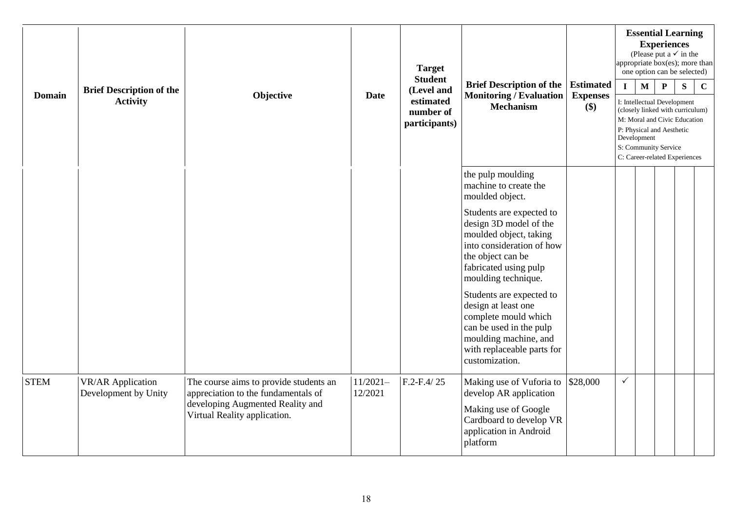| <b>Domain</b> |                                                  |                                                                                                                                                   |                       | <b>Target</b><br><b>Student</b>         |                                                                                                                                                                                |                        |              |              | <b>Essential Learning</b><br><b>Experiences</b><br>(Please put a $\checkmark$ in the<br>appropriate box(es); more than<br>one option can be selected)                                 |   |             |
|---------------|--------------------------------------------------|---------------------------------------------------------------------------------------------------------------------------------------------------|-----------------------|-----------------------------------------|--------------------------------------------------------------------------------------------------------------------------------------------------------------------------------|------------------------|--------------|--------------|---------------------------------------------------------------------------------------------------------------------------------------------------------------------------------------|---|-------------|
|               | <b>Brief Description of the</b>                  |                                                                                                                                                   |                       | (Level and                              | <b>Brief Description of the</b>                                                                                                                                                | <b>Estimated</b>       | $\mathbf{I}$ | $\mathbf{M}$ | $\mathbf P$                                                                                                                                                                           | S | $\mathbf C$ |
|               | <b>Activity</b>                                  | Objective                                                                                                                                         | <b>Date</b>           | estimated<br>number of<br>participants) | <b>Monitoring / Evaluation</b><br><b>Mechanism</b>                                                                                                                             | <b>Expenses</b><br>\$) |              | Development  | I: Intellectual Development<br>(closely linked with curriculum)<br>M: Moral and Civic Education<br>P: Physical and Aesthetic<br>S: Community Service<br>C: Career-related Experiences |   |             |
|               |                                                  |                                                                                                                                                   |                       |                                         | the pulp moulding<br>machine to create the<br>moulded object.                                                                                                                  |                        |              |              |                                                                                                                                                                                       |   |             |
|               |                                                  |                                                                                                                                                   |                       |                                         | Students are expected to<br>design 3D model of the<br>moulded object, taking<br>into consideration of how<br>the object can be<br>fabricated using pulp<br>moulding technique. |                        |              |              |                                                                                                                                                                                       |   |             |
|               |                                                  |                                                                                                                                                   |                       |                                         | Students are expected to<br>design at least one<br>complete mould which<br>can be used in the pulp<br>moulding machine, and<br>with replaceable parts for<br>customization.    |                        |              |              |                                                                                                                                                                                       |   |             |
| <b>STEM</b>   | <b>VR/AR Application</b><br>Development by Unity | The course aims to provide students an<br>appreciation to the fundamentals of<br>developing Augmented Reality and<br>Virtual Reality application. | $11/2021-$<br>12/2021 | $F.2-F.4/25$                            | Making use of Vuforia to<br>develop AR application<br>Making use of Google<br>Cardboard to develop VR<br>application in Android<br>platform                                    | \$28,000               | $\checkmark$ |              |                                                                                                                                                                                       |   |             |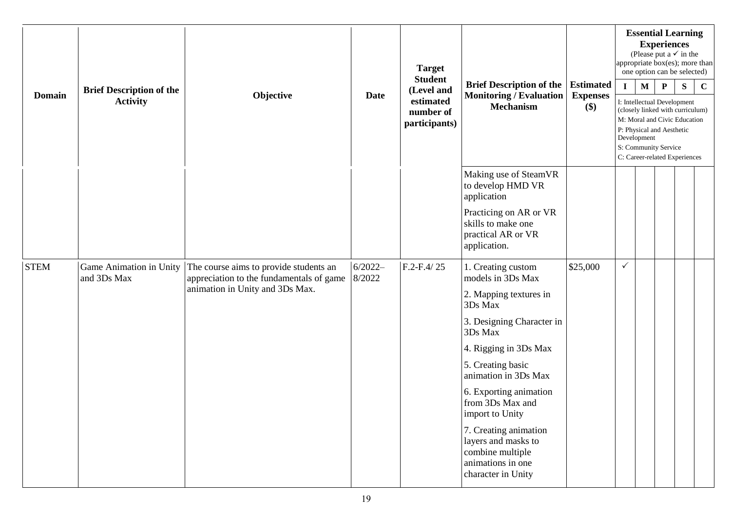| <b>Domain</b> | <b>Target</b><br><b>Student</b><br><b>Brief Description of the</b><br>(Level and<br>Objective<br><b>Monitoring / Evaluation</b><br><b>Date</b><br><b>Activity</b><br>estimated |                                                                                    |                     | <b>Brief Description of the</b> |                                                                                                             |                                     |              | <b>Essential Learning</b><br><b>Experiences</b><br>(Please put a $\checkmark$ in the<br>one option can be selected) |                                                                                                                                                                                       | appropriate box(es); more than |             |
|---------------|--------------------------------------------------------------------------------------------------------------------------------------------------------------------------------|------------------------------------------------------------------------------------|---------------------|---------------------------------|-------------------------------------------------------------------------------------------------------------|-------------------------------------|--------------|---------------------------------------------------------------------------------------------------------------------|---------------------------------------------------------------------------------------------------------------------------------------------------------------------------------------|--------------------------------|-------------|
|               |                                                                                                                                                                                |                                                                                    |                     |                                 |                                                                                                             | <b>Estimated</b><br><b>Expenses</b> | $\mathbf{I}$ | $\mathbf{M}$                                                                                                        | $\mathbf{P}$                                                                                                                                                                          | S                              | $\mathbf C$ |
|               |                                                                                                                                                                                |                                                                                    |                     | number of<br>participants)      | <b>Mechanism</b>                                                                                            | $(\$)$                              |              | Development                                                                                                         | I: Intellectual Development<br>(closely linked with curriculum)<br>M: Moral and Civic Education<br>P: Physical and Aesthetic<br>S: Community Service<br>C: Career-related Experiences |                                |             |
|               |                                                                                                                                                                                |                                                                                    |                     |                                 | Making use of SteamVR<br>to develop HMD VR<br>application                                                   |                                     |              |                                                                                                                     |                                                                                                                                                                                       |                                |             |
|               |                                                                                                                                                                                |                                                                                    |                     |                                 | Practicing on AR or VR<br>skills to make one<br>practical AR or VR<br>application.                          |                                     |              |                                                                                                                     |                                                                                                                                                                                       |                                |             |
| <b>STEM</b>   | Game Animation in Unity<br>and 3Ds Max                                                                                                                                         | The course aims to provide students an<br>appreciation to the fundamentals of game | $6/2022-$<br>8/2022 | $F.2-F.4/25$                    | 1. Creating custom<br>models in 3Ds Max                                                                     | \$25,000                            | $\checkmark$ |                                                                                                                     |                                                                                                                                                                                       |                                |             |
|               |                                                                                                                                                                                | animation in Unity and 3Ds Max.                                                    |                     |                                 | 2. Mapping textures in<br>3Ds Max                                                                           |                                     |              |                                                                                                                     |                                                                                                                                                                                       |                                |             |
|               |                                                                                                                                                                                |                                                                                    |                     |                                 | 3. Designing Character in<br>3Ds Max                                                                        |                                     |              |                                                                                                                     |                                                                                                                                                                                       |                                |             |
|               |                                                                                                                                                                                |                                                                                    |                     |                                 | 4. Rigging in 3Ds Max                                                                                       |                                     |              |                                                                                                                     |                                                                                                                                                                                       |                                |             |
|               |                                                                                                                                                                                |                                                                                    |                     |                                 | 5. Creating basic<br>animation in 3Ds Max                                                                   |                                     |              |                                                                                                                     |                                                                                                                                                                                       |                                |             |
|               |                                                                                                                                                                                |                                                                                    |                     |                                 | 6. Exporting animation<br>from 3Ds Max and<br>import to Unity                                               |                                     |              |                                                                                                                     |                                                                                                                                                                                       |                                |             |
|               |                                                                                                                                                                                |                                                                                    |                     |                                 | 7. Creating animation<br>layers and masks to<br>combine multiple<br>animations in one<br>character in Unity |                                     |              |                                                                                                                     |                                                                                                                                                                                       |                                |             |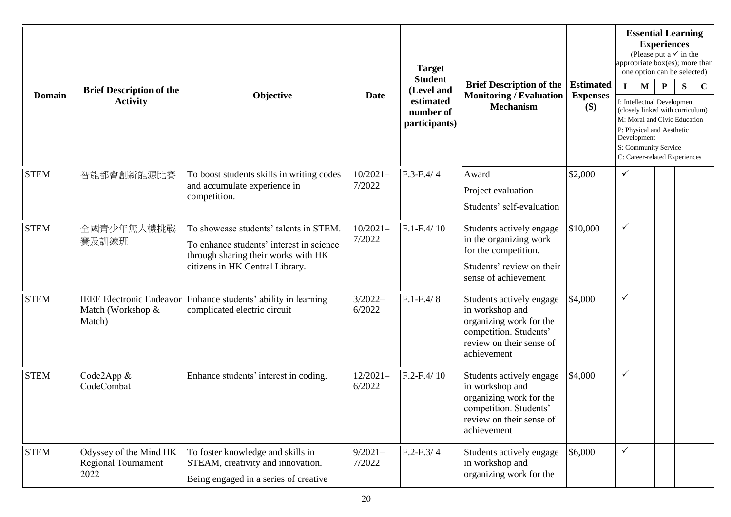| <b>Domain</b> | <b>Brief Description of the</b>                                |                                                                                                                                                              |                      | <b>Target</b>                                                           |                                                                                                                                             |                                               |              |                            | <b>Essential Learning</b><br><b>Experiences</b><br>(Please put a $\checkmark$ in the<br>appropriate box(es); more than<br>one option can be selected)                                                 |   |             |
|---------------|----------------------------------------------------------------|--------------------------------------------------------------------------------------------------------------------------------------------------------------|----------------------|-------------------------------------------------------------------------|---------------------------------------------------------------------------------------------------------------------------------------------|-----------------------------------------------|--------------|----------------------------|-------------------------------------------------------------------------------------------------------------------------------------------------------------------------------------------------------|---|-------------|
|               | <b>Activity</b>                                                | Objective                                                                                                                                                    | <b>Date</b>          | <b>Student</b><br>(Level and<br>estimated<br>number of<br>participants) | <b>Brief Description of the</b><br><b>Monitoring / Evaluation</b><br><b>Mechanism</b>                                                       | <b>Estimated</b><br><b>Expenses</b><br>$(\$)$ | $\mathbf I$  | $\mathbf M$<br>Development | $\mathbf{P}$<br>I: Intellectual Development<br>(closely linked with curriculum)<br>M: Moral and Civic Education<br>P: Physical and Aesthetic<br>S: Community Service<br>C: Career-related Experiences | S | $\mathbf C$ |
| <b>STEM</b>   | 智能都會創新能源比賽                                                     | To boost students skills in writing codes<br>and accumulate experience in<br>competition.                                                                    | $10/2021-$<br>7/2022 | $F.3-F.4/4$                                                             | Award<br>Project evaluation<br>Students' self-evaluation                                                                                    | \$2,000                                       | ✓            |                            |                                                                                                                                                                                                       |   |             |
| <b>STEM</b>   | 全國青少年無人機挑戰<br>賽及訓練班                                            | To showcase students' talents in STEM.<br>To enhance students' interest in science<br>through sharing their works with HK<br>citizens in HK Central Library. | $10/2021-$<br>7/2022 | $F.1-F.4/10$                                                            | Students actively engage<br>in the organizing work<br>for the competition.<br>Students' review on their<br>sense of achievement             | \$10,000                                      | $\checkmark$ |                            |                                                                                                                                                                                                       |   |             |
| <b>STEM</b>   | <b>IEEE Electronic Endeavor</b><br>Match (Workshop &<br>Match) | Enhance students' ability in learning<br>complicated electric circuit                                                                                        | $3/2022-$<br>6/2022  | $F.1-F.4/8$                                                             | Students actively engage<br>in workshop and<br>organizing work for the<br>competition. Students'<br>review on their sense of<br>achievement | \$4,000                                       | $\checkmark$ |                            |                                                                                                                                                                                                       |   |             |
| <b>STEM</b>   | Code2App &<br>CodeCombat                                       | Enhance students' interest in coding.                                                                                                                        | $12/2021-$<br>6/2022 | $F.2-F.4/10$                                                            | Students actively engage<br>in workshop and<br>organizing work for the<br>competition. Students'<br>review on their sense of<br>achievement | \$4,000                                       | $\checkmark$ |                            |                                                                                                                                                                                                       |   |             |
| <b>STEM</b>   | Odyssey of the Mind HK<br>Regional Tournament<br>2022          | To foster knowledge and skills in<br>STEAM, creativity and innovation.<br>Being engaged in a series of creative                                              | $9/2021-$<br>7/2022  | $F.2-F.3/4$                                                             | Students actively engage<br>in workshop and<br>organizing work for the                                                                      | \$6,000                                       | $\checkmark$ |                            |                                                                                                                                                                                                       |   |             |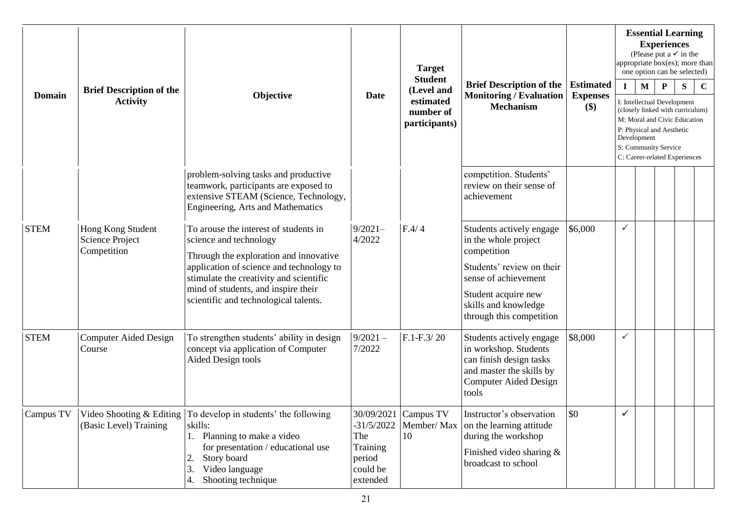| <b>Domain</b> | <b>Brief Description of the</b><br><b>Activity</b>         | Objective                                                                                                                                                                                                                                                                        | Date                                                              | <b>Target</b><br><b>Student</b><br>(Level and<br>estimated<br>number of<br>participants) | <b>Brief Description of the</b><br><b>Monitoring / Evaluation</b><br><b>Mechanism</b>                                                                                                           | <b>Estimated</b><br><b>Expenses</b><br>\$) | $\mathbf{I}$ | $\mathbf{M}$<br>Development | <b>Essential Learning</b><br><b>Experiences</b><br>(Please put a $\checkmark$ in the<br>appropriate box(es); more than<br>one option can be selected)<br>P<br>I: Intellectual Development<br>(closely linked with curriculum)<br>M: Moral and Civic Education<br>P: Physical and Aesthetic<br>S: Community Service<br>C: Career-related Experiences | S | $\mathbf C$ |
|---------------|------------------------------------------------------------|----------------------------------------------------------------------------------------------------------------------------------------------------------------------------------------------------------------------------------------------------------------------------------|-------------------------------------------------------------------|------------------------------------------------------------------------------------------|-------------------------------------------------------------------------------------------------------------------------------------------------------------------------------------------------|--------------------------------------------|--------------|-----------------------------|-----------------------------------------------------------------------------------------------------------------------------------------------------------------------------------------------------------------------------------------------------------------------------------------------------------------------------------------------------|---|-------------|
|               |                                                            | problem-solving tasks and productive<br>teamwork, participants are exposed to<br>extensive STEAM (Science, Technology,<br>Engineering, Arts and Mathematics                                                                                                                      |                                                                   |                                                                                          | competition. Students'<br>review on their sense of<br>achievement                                                                                                                               |                                            |              |                             |                                                                                                                                                                                                                                                                                                                                                     |   |             |
| <b>STEM</b>   | Hong Kong Student<br><b>Science Project</b><br>Competition | To arouse the interest of students in<br>science and technology<br>Through the exploration and innovative<br>application of science and technology to<br>stimulate the creativity and scientific<br>mind of students, and inspire their<br>scientific and technological talents. | $9/2021-$<br>4/2022                                               | F.4/4                                                                                    | Students actively engage<br>in the whole project<br>competition<br>Students' review on their<br>sense of achievement<br>Student acquire new<br>skills and knowledge<br>through this competition | \$6,000                                    | $\checkmark$ |                             |                                                                                                                                                                                                                                                                                                                                                     |   |             |
| <b>STEM</b>   | <b>Computer Aided Design</b><br>Course                     | To strengthen students' ability in design<br>concept via application of Computer<br>Aided Design tools                                                                                                                                                                           | $9/2021 -$<br>7/2022                                              | $F.1-F.3/20$                                                                             | Students actively engage<br>in workshop. Students<br>can finish design tasks<br>and master the skills by<br><b>Computer Aided Design</b><br>tools                                               | \$8,000                                    | $\checkmark$ |                             |                                                                                                                                                                                                                                                                                                                                                     |   |             |
| Campus TV     | (Basic Level) Training                                     | Video Shooting & Editing $\vert$ To develop in students' the following<br>skills:<br>1. Planning to make a video<br>for presentation / educational use<br>Story board<br>2.<br>Video language<br>3.<br>Shooting technique                                                        | $-31/5/2022$<br>The<br>Training<br>period<br>could be<br>extended | 30/09/2021 Campus TV<br>Member/Max<br>10                                                 | Instructor's observation<br>on the learning attitude<br>during the workshop<br>Finished video sharing &<br>broadcast to school                                                                  | \$0                                        |              |                             |                                                                                                                                                                                                                                                                                                                                                     |   |             |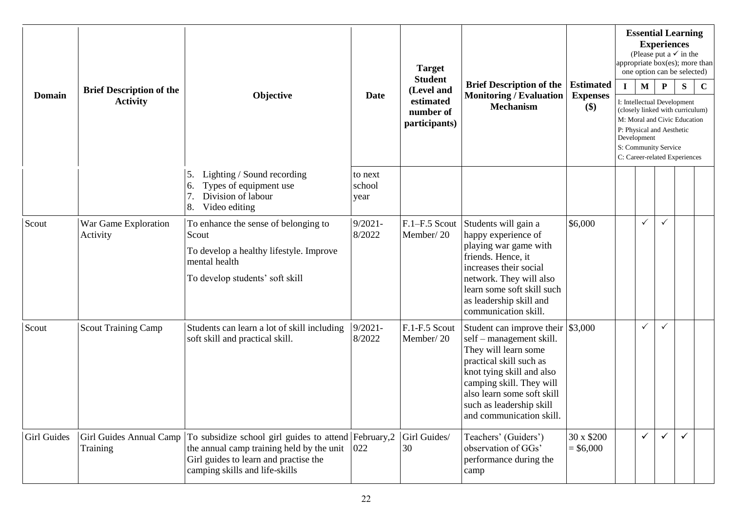| <b>Domain</b>      | <b>Brief Description of the</b><br><b>Activity</b> | Objective                                                                                                                                                                     | Date                      | <b>Target</b><br><b>Student</b><br>(Level and<br>estimated<br>number of<br>participants) | <b>Brief Description of the</b><br><b>Monitoring / Evaluation</b><br><b>Mechanism</b>                                                                                                                                                                                      | <b>Estimated</b><br><b>Expenses</b><br>\$) | appropriate box(es); more than<br>$\mathbf{I}$ | $\mathbf M$<br>Development | <b>Experiences</b><br>${\bf P}$<br>P: Physical and Aesthetic<br>S: Community Service | <b>Essential Learning</b><br>(Please put a $\checkmark$ in the<br>one option can be selected)<br>${\bf S}$<br>I: Intellectual Development<br>(closely linked with curriculum)<br>M: Moral and Civic Education | $\mathbf C$ |
|--------------------|----------------------------------------------------|-------------------------------------------------------------------------------------------------------------------------------------------------------------------------------|---------------------------|------------------------------------------------------------------------------------------|----------------------------------------------------------------------------------------------------------------------------------------------------------------------------------------------------------------------------------------------------------------------------|--------------------------------------------|------------------------------------------------|----------------------------|--------------------------------------------------------------------------------------|---------------------------------------------------------------------------------------------------------------------------------------------------------------------------------------------------------------|-------------|
|                    |                                                    | Lighting / Sound recording<br>5.<br>Types of equipment use<br>6.<br>Division of labour<br>Video editing<br>8.                                                                 | to next<br>school<br>year |                                                                                          |                                                                                                                                                                                                                                                                            |                                            |                                                |                            |                                                                                      | C: Career-related Experiences                                                                                                                                                                                 |             |
| Scout              | War Game Exploration<br>Activity                   | To enhance the sense of belonging to<br>Scout<br>To develop a healthy lifestyle. Improve<br>mental health<br>To develop students' soft skill                                  | $9/2021 -$<br>8/2022      | F.1-F.5 Scout<br>Member/20                                                               | Students will gain a<br>happy experience of<br>playing war game with<br>friends. Hence, it<br>increases their social<br>network. They will also<br>learn some soft skill such<br>as leadership skill and<br>communication skill.                                           | \$6,000                                    |                                                | ✓                          | $\checkmark$                                                                         |                                                                                                                                                                                                               |             |
| Scout              | <b>Scout Training Camp</b>                         | Students can learn a lot of skill including<br>soft skill and practical skill.                                                                                                | $9/2021 -$<br>8/2022      | F.1-F.5 Scout<br>Member/20                                                               | Student can improve their $\frac{1}{3}$ ,000<br>self – management skill.<br>They will learn some<br>practical skill such as<br>knot tying skill and also<br>camping skill. They will<br>also learn some soft skill<br>such as leadership skill<br>and communication skill. |                                            |                                                | $\checkmark$               | ✓                                                                                    |                                                                                                                                                                                                               |             |
| <b>Girl Guides</b> | Girl Guides Annual Camp<br>Training                | To subsidize school girl guides to attend February, 2<br>the annual camp training held by the unit<br>Girl guides to learn and practise the<br>camping skills and life-skills | 022                       | Girl Guides/<br>30                                                                       | Teachers' (Guiders')<br>observation of GGs'<br>performance during the<br>camp                                                                                                                                                                                              | 30 x \$200<br>$=$ \$6,000                  |                                                | $\checkmark$               | $\checkmark$                                                                         | ✓                                                                                                                                                                                                             |             |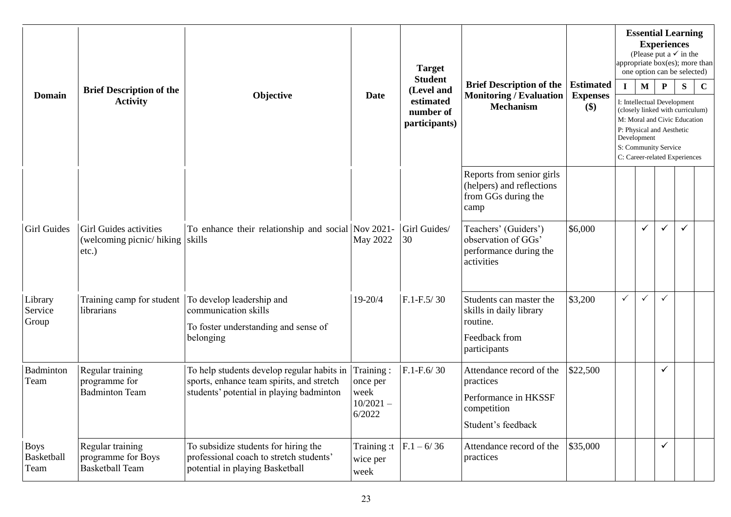| <b>Domain</b>                     | <b>Brief Description of the</b><br><b>Activity</b>               | <b>Target</b><br><b>Student</b><br>(Level and<br>Objective<br><b>Date</b><br>estimated<br><b>Mechanism</b><br>number of<br>participants) | <b>Brief Description of the</b><br><b>Monitoring / Evaluation</b> | <b>Estimated</b><br><b>Expenses</b><br>$(\$)$ | $\mathbf I$                                                                                        | M        | <b>Essential Learning</b><br><b>Experiences</b><br>(Please put a $\checkmark$ in the<br>one option can be selected)<br>$\mathbf P$<br>I: Intellectual Development<br>(closely linked with curriculum) | S            | appropriate box(es); more than<br>$\mathbf C$                                                                      |   |  |
|-----------------------------------|------------------------------------------------------------------|------------------------------------------------------------------------------------------------------------------------------------------|-------------------------------------------------------------------|-----------------------------------------------|----------------------------------------------------------------------------------------------------|----------|-------------------------------------------------------------------------------------------------------------------------------------------------------------------------------------------------------|--------------|--------------------------------------------------------------------------------------------------------------------|---|--|
|                                   |                                                                  |                                                                                                                                          |                                                                   |                                               |                                                                                                    |          |                                                                                                                                                                                                       | Development  | M: Moral and Civic Education<br>P: Physical and Aesthetic<br>S: Community Service<br>C: Career-related Experiences |   |  |
|                                   |                                                                  |                                                                                                                                          |                                                                   |                                               | Reports from senior girls<br>(helpers) and reflections<br>from GGs during the<br>camp              |          |                                                                                                                                                                                                       |              |                                                                                                                    |   |  |
| <b>Girl Guides</b>                | Girl Guides activities<br>(welcoming picnic/hiking)<br>$etc.$ )  | To enhance their relationship and social Nov 2021-<br>skills                                                                             | May 2022                                                          | Girl Guides/<br>30                            | Teachers' (Guiders')<br>observation of GGs'<br>performance during the<br>activities                | \$6,000  |                                                                                                                                                                                                       | $\checkmark$ | $\checkmark$                                                                                                       | ✓ |  |
| Library<br>Service<br>Group       | Training camp for student<br>librarians                          | To develop leadership and<br>communication skills<br>To foster understanding and sense of<br>belonging                                   | 19-20/4                                                           | $F.1-F.5/30$                                  | Students can master the<br>skills in daily library<br>routine.<br>Feedback from<br>participants    | \$3,200  | $\checkmark$                                                                                                                                                                                          |              | $\checkmark$                                                                                                       |   |  |
| Badminton<br>Team                 | Regular training<br>programme for<br><b>Badminton Team</b>       | To help students develop regular habits in<br>sports, enhance team spirits, and stretch<br>students' potential in playing badminton      | Training:<br>once per<br>week<br>$10/2021 -$<br>6/2022            | $F.1-F.6/30$                                  | Attendance record of the<br>practices<br>Performance in HKSSF<br>competition<br>Student's feedback | \$22,500 |                                                                                                                                                                                                       |              | ✓                                                                                                                  |   |  |
| <b>Boys</b><br>Basketball<br>Team | Regular training<br>programme for Boys<br><b>Basketball Team</b> | To subsidize students for hiring the<br>professional coach to stretch students'<br>potential in playing Basketball                       | Training:t<br>wice per<br>week                                    | $F.1 - 6/36$                                  | Attendance record of the<br>practices                                                              | \$35,000 |                                                                                                                                                                                                       |              | $\checkmark$                                                                                                       |   |  |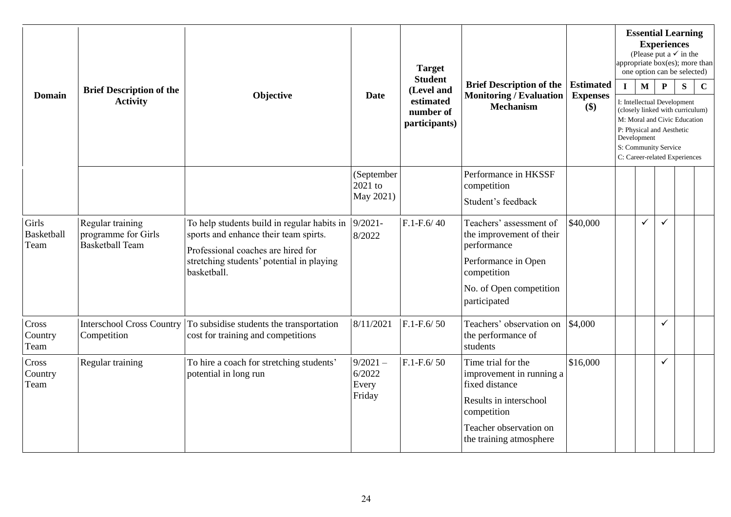| <b>Domain</b>                      | <b>Brief Description of the</b>                                   | Objective                                                                                                                                                                              |                                         | <b>Target</b><br><b>Student</b>                       |                                                                                                                                                                |                                            |              |                                                                                  | <b>Experiences</b> | <b>Essential Learning</b><br>(Please put a $\checkmark$ in the<br>appropriate box(es); more than<br>one option can be selected)       |             |
|------------------------------------|-------------------------------------------------------------------|----------------------------------------------------------------------------------------------------------------------------------------------------------------------------------------|-----------------------------------------|-------------------------------------------------------|----------------------------------------------------------------------------------------------------------------------------------------------------------------|--------------------------------------------|--------------|----------------------------------------------------------------------------------|--------------------|---------------------------------------------------------------------------------------------------------------------------------------|-------------|
|                                    | <b>Activity</b>                                                   |                                                                                                                                                                                        | Date                                    | (Level and<br>estimated<br>number of<br>participants) | <b>Brief Description of the</b><br><b>Monitoring / Evaluation</b><br><b>Mechanism</b>                                                                          | <b>Estimated</b><br><b>Expenses</b><br>\$) | $\mathbf{I}$ | $\mathbf{M}$<br>P: Physical and Aesthetic<br>Development<br>S: Community Service | ${\bf P}$          | S<br>I: Intellectual Development<br>(closely linked with curriculum)<br>M: Moral and Civic Education<br>C: Career-related Experiences | $\mathbf C$ |
|                                    |                                                                   |                                                                                                                                                                                        | (September<br>2021 to<br>May 2021)      |                                                       | Performance in HKSSF<br>competition<br>Student's feedback                                                                                                      |                                            |              |                                                                                  |                    |                                                                                                                                       |             |
| Girls<br><b>Basketball</b><br>Team | Regular training<br>programme for Girls<br><b>Basketball Team</b> | To help students build in regular habits in<br>sports and enhance their team spirts.<br>Professional coaches are hired for<br>stretching students' potential in playing<br>basketball. | $9/2021 -$<br>8/2022                    | $F.1-F.6/40$                                          | Teachers' assessment of<br>the improvement of their<br>performance<br>Performance in Open<br>competition<br>No. of Open competition<br>participated            | \$40,000                                   |              | ✓                                                                                | ✓                  |                                                                                                                                       |             |
| Cross<br>Country<br>Team           | <b>Interschool Cross Country</b><br>Competition                   | To subsidise students the transportation<br>cost for training and competitions                                                                                                         | 8/11/2021                               | $F.1-F.6/50$                                          | Teachers' observation on<br>the performance of<br>students                                                                                                     | \$4,000                                    |              |                                                                                  | ✓                  |                                                                                                                                       |             |
| Cross<br>Country<br>Team           | Regular training                                                  | To hire a coach for stretching students'<br>potential in long run                                                                                                                      | $9/2021 -$<br>6/2022<br>Every<br>Friday | $F.1-F.6/50$                                          | Time trial for the<br>improvement in running a<br>fixed distance<br>Results in interschool<br>competition<br>Teacher observation on<br>the training atmosphere | \$16,000                                   |              |                                                                                  | ✓                  |                                                                                                                                       |             |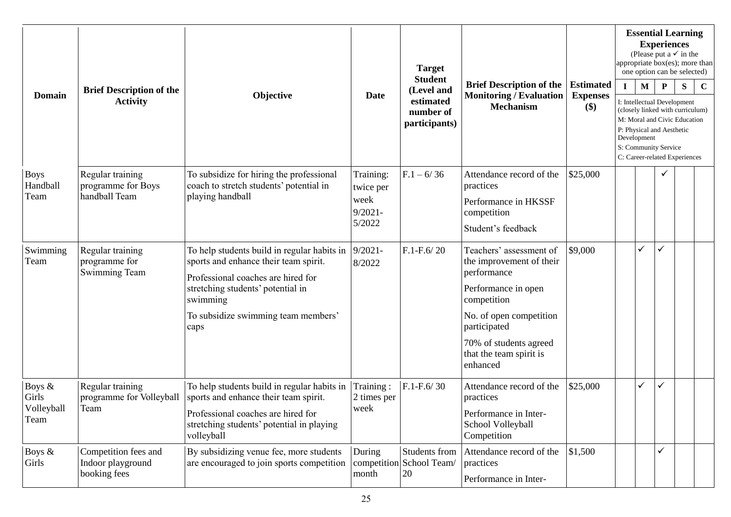| <b>Domain</b>                         |                                                           | Objective                                                                                                                                                                             | Date                                                   | <b>Target</b><br><b>Student</b><br>(Level and<br>estimated<br>number of<br>participants) | <b>Brief Description of the</b><br><b>Monitoring / Evaluation</b><br><b>Mechanism</b>                                   | <b>Estimated</b><br><b>Expenses</b><br>\$) | <b>Essential Learning</b><br><b>Experiences</b><br>(Please put a $\checkmark$ in the<br>appropriate box(es); more than<br>one option can be selected)                 |   |                                             |   |             |  |  |
|---------------------------------------|-----------------------------------------------------------|---------------------------------------------------------------------------------------------------------------------------------------------------------------------------------------|--------------------------------------------------------|------------------------------------------------------------------------------------------|-------------------------------------------------------------------------------------------------------------------------|--------------------------------------------|-----------------------------------------------------------------------------------------------------------------------------------------------------------------------|---|---------------------------------------------|---|-------------|--|--|
|                                       | <b>Brief Description of the</b><br><b>Activity</b>        |                                                                                                                                                                                       |                                                        |                                                                                          |                                                                                                                         |                                            | $\mathbf I$                                                                                                                                                           | M | $\mathbf{P}$<br>I: Intellectual Development | S | $\mathbf C$ |  |  |
|                                       |                                                           |                                                                                                                                                                                       |                                                        |                                                                                          |                                                                                                                         |                                            | (closely linked with curriculum)<br>M: Moral and Civic Education<br>P: Physical and Aesthetic<br>Development<br>S: Community Service<br>C: Career-related Experiences |   |                                             |   |             |  |  |
| <b>Boys</b><br>Handball<br>Team       | Regular training<br>programme for Boys<br>handball Team   | To subsidize for hiring the professional<br>coach to stretch students' potential in<br>playing handball                                                                               | Training:<br>twice per<br>week<br>$9/2021 -$<br>5/2022 | $F.1 - 6/36$                                                                             | Attendance record of the<br>practices<br>Performance in HKSSF<br>competition<br>Student's feedback                      | \$25,000                                   |                                                                                                                                                                       |   |                                             |   |             |  |  |
| Swimming<br>Team                      | Regular training<br>programme for<br><b>Swimming Team</b> | To help students build in regular habits in<br>sports and enhance their team spirit.<br>Professional coaches are hired for<br>stretching students' potential in                       | $9/2021 -$<br>8/2022                                   | $F.1-F.6/20$                                                                             | Teachers' assessment of<br>the improvement of their<br>performance<br>Performance in open                               | \$9,000                                    |                                                                                                                                                                       |   | ✓                                           |   |             |  |  |
|                                       |                                                           | swimming<br>To subsidize swimming team members'<br>caps                                                                                                                               |                                                        |                                                                                          | competition<br>No. of open competition<br>participated<br>70% of students agreed<br>that the team spirit is<br>enhanced |                                            |                                                                                                                                                                       |   |                                             |   |             |  |  |
| Boys &<br>Girls<br>Volleyball<br>Team | Regular training<br>programme for Volleyball<br>Team      | To help students build in regular habits in<br>sports and enhance their team spirit.<br>Professional coaches are hired for<br>stretching students' potential in playing<br>volleyball | Training:<br>2 times per<br>week                       | $F.1-F.6/30$                                                                             | Attendance record of the<br>practices<br>Performance in Inter-<br>School Volleyball<br>Competition                      | \$25,000                                   |                                                                                                                                                                       | ✓ | ✓                                           |   |             |  |  |
| Boys &<br>Girls                       | Competition fees and<br>Indoor playground<br>booking fees | By subsidizing venue fee, more students<br>are encouraged to join sports competition                                                                                                  | During<br>month                                        | Students from<br>competition School Team/<br>20                                          | Attendance record of the<br>practices<br>Performance in Inter-                                                          | \$1,500                                    |                                                                                                                                                                       |   | ✓                                           |   |             |  |  |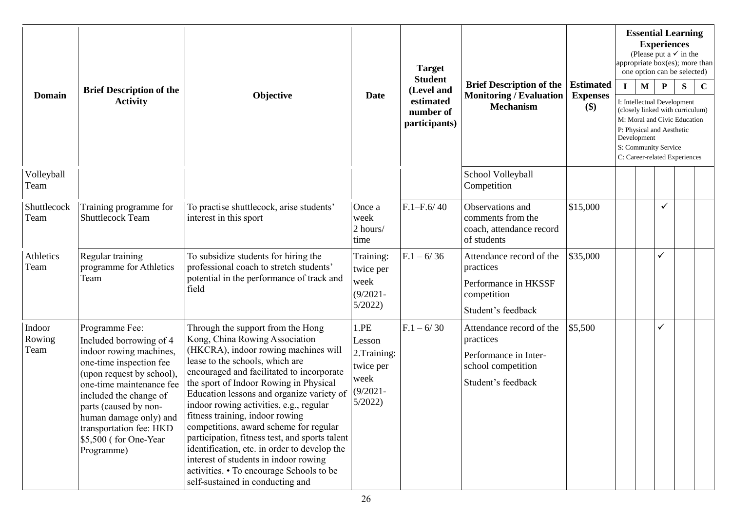| <b>Domain</b>            | <b>Brief Description of the</b><br><b>Activity</b>                                                                                                                                                                                                                                                      | Objective                                                                                                                                                                                                                                                                                                                                                                                                                                                                                                                                                                                                                             | <b>Date</b>                                                                  | <b>Target</b><br><b>Student</b><br>(Level and<br>estimated<br>number of<br>participants) | <b>Brief Description of the</b><br><b>Monitoring / Evaluation</b><br><b>Mechanism</b>                      | <b>Estimated</b><br><b>Expenses</b><br>\$) | <b>Essential Learning</b><br><b>Experiences</b><br>(Please put a $\checkmark$ in the<br>appropriate box(es); more than<br>one option can be selected)<br>S<br>$\mathbf{I}$<br>$\mathbf{M}$<br>P<br>$\mathbf C$<br>I: Intellectual Development<br>(closely linked with curriculum)<br>M: Moral and Civic Education<br>P: Physical and Aesthetic |  |   |  |  |  |
|--------------------------|---------------------------------------------------------------------------------------------------------------------------------------------------------------------------------------------------------------------------------------------------------------------------------------------------------|---------------------------------------------------------------------------------------------------------------------------------------------------------------------------------------------------------------------------------------------------------------------------------------------------------------------------------------------------------------------------------------------------------------------------------------------------------------------------------------------------------------------------------------------------------------------------------------------------------------------------------------|------------------------------------------------------------------------------|------------------------------------------------------------------------------------------|------------------------------------------------------------------------------------------------------------|--------------------------------------------|------------------------------------------------------------------------------------------------------------------------------------------------------------------------------------------------------------------------------------------------------------------------------------------------------------------------------------------------|--|---|--|--|--|
|                          |                                                                                                                                                                                                                                                                                                         |                                                                                                                                                                                                                                                                                                                                                                                                                                                                                                                                                                                                                                       |                                                                              |                                                                                          |                                                                                                            |                                            | Development<br>S: Community Service<br>C: Career-related Experiences                                                                                                                                                                                                                                                                           |  |   |  |  |  |
| Volleyball<br>Team       |                                                                                                                                                                                                                                                                                                         |                                                                                                                                                                                                                                                                                                                                                                                                                                                                                                                                                                                                                                       |                                                                              |                                                                                          | School Volleyball<br>Competition                                                                           |                                            |                                                                                                                                                                                                                                                                                                                                                |  |   |  |  |  |
| Shuttlecock<br>Team      | Training programme for<br><b>Shuttlecock Team</b>                                                                                                                                                                                                                                                       | To practise shuttlecock, arise students'<br>interest in this sport                                                                                                                                                                                                                                                                                                                                                                                                                                                                                                                                                                    | Once a<br>week<br>2 hours/<br>time                                           | $F.1 - F.6/40$                                                                           | Observations and<br>comments from the<br>coach, attendance record<br>of students                           | \$15,000                                   |                                                                                                                                                                                                                                                                                                                                                |  | ✓ |  |  |  |
| Athletics<br>Team        | Regular training<br>programme for Athletics<br>Team                                                                                                                                                                                                                                                     | To subsidize students for hiring the<br>professional coach to stretch students'<br>potential in the performance of track and<br>field                                                                                                                                                                                                                                                                                                                                                                                                                                                                                                 | Training:<br>twice per<br>week<br>$(9/2021 -$<br>5/2022                      | $F.1 - 6/36$                                                                             | Attendance record of the<br>practices<br>Performance in HKSSF<br>competition<br>Student's feedback         | \$35,000                                   |                                                                                                                                                                                                                                                                                                                                                |  |   |  |  |  |
| Indoor<br>Rowing<br>Team | Programme Fee:<br>Included borrowing of 4<br>indoor rowing machines,<br>one-time inspection fee<br>(upon request by school),<br>one-time maintenance fee<br>included the change of<br>parts (caused by non-<br>human damage only) and<br>transportation fee: HKD<br>\$5,500 (for One-Year<br>Programme) | Through the support from the Hong<br>Kong, China Rowing Association<br>(HKCRA), indoor rowing machines will<br>lease to the schools, which are<br>encouraged and facilitated to incorporate<br>the sport of Indoor Rowing in Physical<br>Education lessons and organize variety of<br>indoor rowing activities, e.g., regular<br>fitness training, indoor rowing<br>competitions, award scheme for regular<br>participation, fitness test, and sports talent<br>identification, etc. in order to develop the<br>interest of students in indoor rowing<br>activities. • To encourage Schools to be<br>self-sustained in conducting and | 1.PE<br>Lesson<br>2. Training:<br>twice per<br>week<br>$(9/2021 -$<br>5/2022 | $F.1 - 6/30$                                                                             | Attendance record of the<br>practices<br>Performance in Inter-<br>school competition<br>Student's feedback | \$5,500                                    |                                                                                                                                                                                                                                                                                                                                                |  |   |  |  |  |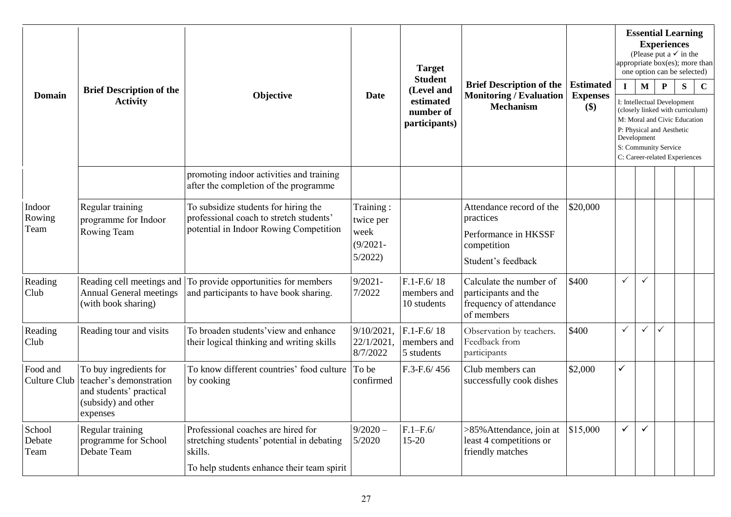| <b>Domain</b>            | <b>Brief Description of the</b><br><b>Activity</b>                                                              | Objective                                                                                                                                 | <b>Date</b>                                             | <b>Target</b><br><b>Student</b><br>(Level and<br>estimated<br>number of<br>participants) | <b>Brief Description of the</b><br><b>Monitoring / Evaluation</b><br><b>Mechanism</b>              | <b>Estimated</b><br><b>Expenses</b><br>\$) | <b>Essential Learning</b><br><b>Experiences</b><br>(Please put a $\checkmark$ in the<br>appropriate $\overline{box(es)}$ ; more than<br>one option can be selected)<br>$\mathbf M$<br>$\mathbf{P}$<br>${\bf S}$<br>$\mathbf{I}$<br>$\mathbf C$<br>I: Intellectual Development<br>(closely linked with curriculum)<br>M: Moral and Civic Education |              |   |  |  |  |  |  |
|--------------------------|-----------------------------------------------------------------------------------------------------------------|-------------------------------------------------------------------------------------------------------------------------------------------|---------------------------------------------------------|------------------------------------------------------------------------------------------|----------------------------------------------------------------------------------------------------|--------------------------------------------|---------------------------------------------------------------------------------------------------------------------------------------------------------------------------------------------------------------------------------------------------------------------------------------------------------------------------------------------------|--------------|---|--|--|--|--|--|
|                          |                                                                                                                 |                                                                                                                                           |                                                         |                                                                                          |                                                                                                    |                                            | P: Physical and Aesthetic<br>Development<br>S: Community Service<br>C: Career-related Experiences                                                                                                                                                                                                                                                 |              |   |  |  |  |  |  |
|                          |                                                                                                                 | promoting indoor activities and training<br>after the completion of the programme                                                         |                                                         |                                                                                          |                                                                                                    |                                            |                                                                                                                                                                                                                                                                                                                                                   |              |   |  |  |  |  |  |
| Indoor<br>Rowing<br>Team | Regular training<br>programme for Indoor<br>Rowing Team                                                         | To subsidize students for hiring the<br>professional coach to stretch students'<br>potential in Indoor Rowing Competition                 | Training:<br>twice per<br>week<br>$(9/2021 -$<br>5/2022 |                                                                                          | Attendance record of the<br>practices<br>Performance in HKSSF<br>competition<br>Student's feedback | \$20,000                                   |                                                                                                                                                                                                                                                                                                                                                   |              |   |  |  |  |  |  |
| Reading<br>Club          | Reading cell meetings and<br><b>Annual General meetings</b><br>(with book sharing)                              | To provide opportunities for members<br>and participants to have book sharing.                                                            | $9/2021 -$<br>7/2022                                    | $F.1-F.6/18$<br>members and<br>10 students                                               | Calculate the number of<br>participants and the<br>frequency of attendance<br>of members           | \$400                                      | $\checkmark$                                                                                                                                                                                                                                                                                                                                      | $\checkmark$ |   |  |  |  |  |  |
| Reading<br>Club          | Reading tour and visits                                                                                         | To broaden students' view and enhance<br>their logical thinking and writing skills                                                        | $9/10/2021$ .<br>$22/1/2021$ ,<br>8/7/2022              | $F.1-F.6/18$<br>members and<br>5 students                                                | Observation by teachers.<br>Feedback from<br>participants                                          | \$400                                      | $\checkmark$                                                                                                                                                                                                                                                                                                                                      | $\checkmark$ | ✓ |  |  |  |  |  |
| Food and<br>Culture Club | To buy ingredients for<br>teacher's demonstration<br>and students' practical<br>(subsidy) and other<br>expenses | To know different countries' food culture<br>by cooking                                                                                   | To be<br>confirmed                                      | $F.3-F.6/456$                                                                            | Club members can<br>successfully cook dishes                                                       | \$2,000                                    | $\checkmark$                                                                                                                                                                                                                                                                                                                                      |              |   |  |  |  |  |  |
| School<br>Debate<br>Team | Regular training<br>programme for School<br>Debate Team                                                         | Professional coaches are hired for<br>stretching students' potential in debating<br>skills.<br>To help students enhance their team spirit | $9/2020 -$<br>5/2020                                    | $F.1-F.6/$<br>$15-20$                                                                    | >85% Attendance, join at<br>least 4 competitions or<br>friendly matches                            | \$15,000                                   | $\checkmark$                                                                                                                                                                                                                                                                                                                                      | $\checkmark$ |   |  |  |  |  |  |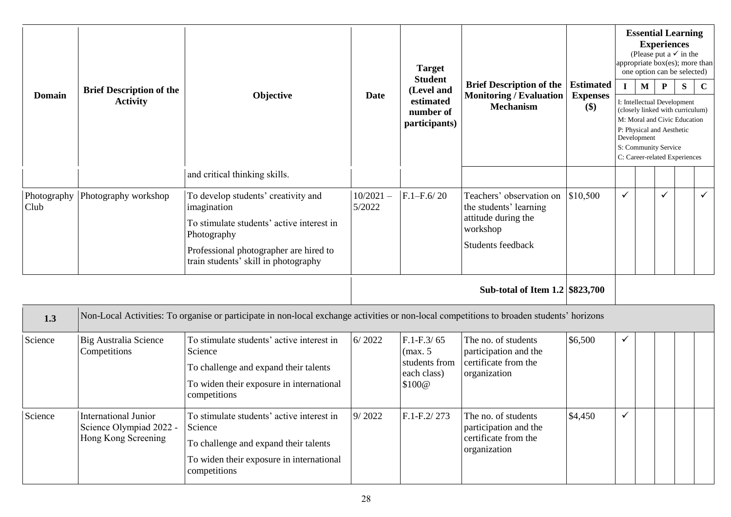| <b>Domain</b>       | <b>Brief Description of the</b><br><b>Activity</b>                            | Objective                                                                                                                                                                                                                         | <b>Date</b>           | <b>Target</b><br><b>Student</b><br>(Level and<br>estimated<br>number of<br>participants) | <b>Brief Description of the</b><br><b>Monitoring / Evaluation</b><br><b>Mechanism</b>                      | <b>Estimated</b><br><b>Expenses</b><br>$(\$)$ | $\mathbf{I}$ | $\mathbf{M}$<br>Development | <b>Experiences</b><br>${\bf P}$<br>P: Physical and Aesthetic<br>S: Community Service | <b>Essential Learning</b><br>(Please put a $\checkmark$ in the<br>appropriate box(es); more than<br>one option can be selected)<br>S<br>I: Intellectual Development<br>(closely linked with curriculum)<br>M: Moral and Civic Education<br>C: Career-related Experiences | $\mathbf C$  |
|---------------------|-------------------------------------------------------------------------------|-----------------------------------------------------------------------------------------------------------------------------------------------------------------------------------------------------------------------------------|-----------------------|------------------------------------------------------------------------------------------|------------------------------------------------------------------------------------------------------------|-----------------------------------------------|--------------|-----------------------------|--------------------------------------------------------------------------------------|--------------------------------------------------------------------------------------------------------------------------------------------------------------------------------------------------------------------------------------------------------------------------|--------------|
| Photography<br>Club | Photography workshop                                                          | and critical thinking skills.<br>To develop students' creativity and<br>imagination<br>To stimulate students' active interest in<br>Photography<br>Professional photographer are hired to<br>train students' skill in photography | $10/2021 -$<br>5/2022 | $F.1-F.6/20$                                                                             | Teachers' observation on<br>the students' learning<br>attitude during the<br>workshop<br>Students feedback | \$10,500                                      | $\checkmark$ |                             | $\checkmark$                                                                         |                                                                                                                                                                                                                                                                          | $\checkmark$ |
|                     |                                                                               |                                                                                                                                                                                                                                   |                       |                                                                                          | Sub-total of Item 1.2 \$823,700                                                                            |                                               |              |                             |                                                                                      |                                                                                                                                                                                                                                                                          |              |
| 1.3                 |                                                                               | Non-Local Activities: To organise or participate in non-local exchange activities or non-local competitions to broaden students' horizons                                                                                         |                       |                                                                                          |                                                                                                            |                                               |              |                             |                                                                                      |                                                                                                                                                                                                                                                                          |              |
| Science             | <b>Big Australia Science</b><br>Competitions                                  | To stimulate students' active interest in<br>Science<br>To challenge and expand their talents<br>To widen their exposure in international<br>competitions                                                                         | 6/2022                | $F.1-F.3/65$<br>(max. 5<br>students from<br>each class)<br>\$100@                        | The no. of students<br>participation and the<br>certificate from the<br>organization                       | \$6,500                                       | √            |                             |                                                                                      |                                                                                                                                                                                                                                                                          |              |
| Science             | <b>International Junior</b><br>Science Olympiad 2022 -<br>Hong Kong Screening | To stimulate students' active interest in<br>Science<br>To challenge and expand their talents<br>To widen their exposure in international<br>competitions                                                                         | 9/2022                | $F.1-F.2/273$                                                                            | The no. of students<br>participation and the<br>certificate from the<br>organization                       | \$4,450                                       | ✓            |                             |                                                                                      |                                                                                                                                                                                                                                                                          |              |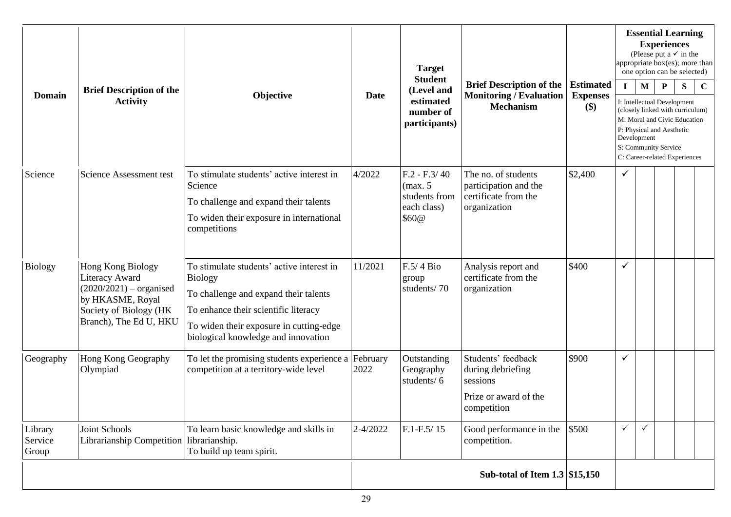| <b>Domain</b>               | <b>Brief Description of the</b><br><b>Activity</b>                                                                                       | Objective                                                                                                                                                                                                                      | <b>Date</b>      | <b>Target</b><br><b>Student</b><br>(Level and<br>estimated<br>number of<br>participants) | <b>Brief Description of the</b><br><b>Estimated</b><br><b>Monitoring / Evaluation</b><br><b>Expenses</b><br>\$)<br><b>Mechanism</b> |         | $\mathbf{I}$ | $\mathbf{M}$<br>Development | <b>Experiences</b><br>P<br>P: Physical and Aesthetic<br>S: Community Service | <b>Essential Learning</b><br>(Please put a $\checkmark$ in the<br>appropriate box(es); more than<br>one option can be selected)<br>${\bf S}$<br>I: Intellectual Development<br>(closely linked with curriculum)<br>M: Moral and Civic Education<br>C: Career-related Experiences | $\mathbf C$ |
|-----------------------------|------------------------------------------------------------------------------------------------------------------------------------------|--------------------------------------------------------------------------------------------------------------------------------------------------------------------------------------------------------------------------------|------------------|------------------------------------------------------------------------------------------|-------------------------------------------------------------------------------------------------------------------------------------|---------|--------------|-----------------------------|------------------------------------------------------------------------------|----------------------------------------------------------------------------------------------------------------------------------------------------------------------------------------------------------------------------------------------------------------------------------|-------------|
| Science                     | Science Assessment test                                                                                                                  | To stimulate students' active interest in<br>Science<br>To challenge and expand their talents<br>To widen their exposure in international<br>competitions                                                                      | 4/2022           | $F.2 - F.3/40$<br>(max. 5<br>students from<br>each class)<br>\$60@                       | The no. of students<br>participation and the<br>certificate from the<br>organization                                                | \$2,400 | $\checkmark$ |                             |                                                                              |                                                                                                                                                                                                                                                                                  |             |
| <b>Biology</b>              | Hong Kong Biology<br>Literacy Award<br>$(2020/2021)$ – organised<br>by HKASME, Royal<br>Society of Biology (HK<br>Branch), The Ed U, HKU | To stimulate students' active interest in<br><b>Biology</b><br>To challenge and expand their talents<br>To enhance their scientific literacy<br>To widen their exposure in cutting-edge<br>biological knowledge and innovation | 11/2021          | $F.5/4$ Bio<br>group<br>students/70                                                      | Analysis report and<br>certificate from the<br>organization                                                                         | \$400   | ✓            |                             |                                                                              |                                                                                                                                                                                                                                                                                  |             |
| Geography                   | Hong Kong Geography<br>Olympiad                                                                                                          | To let the promising students experience a<br>competition at a territory-wide level                                                                                                                                            | February<br>2022 | Outstanding<br>Geography<br>students/6                                                   | Students' feedback<br>during debriefing<br>sessions<br>Prize or award of the<br>competition                                         | \$900   | ✓            |                             |                                                                              |                                                                                                                                                                                                                                                                                  |             |
| Library<br>Service<br>Group | Joint Schools<br>Librarianship Competition                                                                                               | To learn basic knowledge and skills in<br>librarianship.<br>To build up team spirit.                                                                                                                                           | 2-4/2022         | $F.1-F.5/15$                                                                             | Good performance in the<br>competition.                                                                                             | \$500   | $\checkmark$ | $\checkmark$                |                                                                              |                                                                                                                                                                                                                                                                                  |             |
|                             |                                                                                                                                          |                                                                                                                                                                                                                                |                  |                                                                                          | Sub-total of Item $1.3$ \$15,150                                                                                                    |         |              |                             |                                                                              |                                                                                                                                                                                                                                                                                  |             |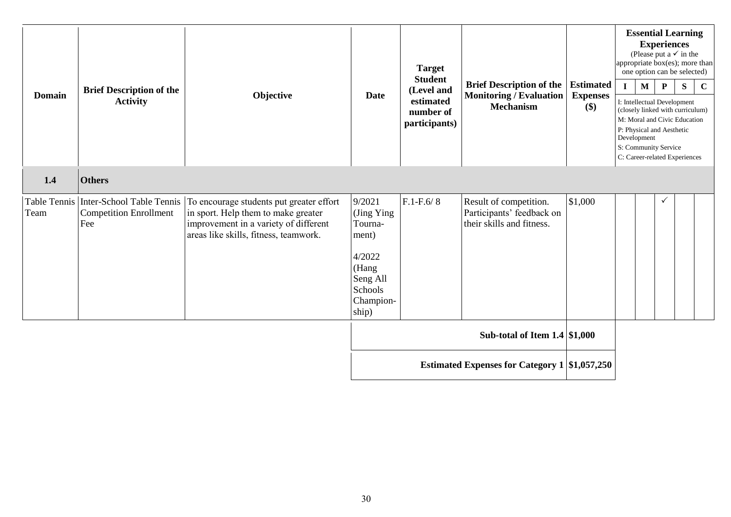| <b>Domain</b>        | <b>Brief Description of the</b><br><b>Activity</b>                       | Objective                                                                                                                                                         | <b>Date</b>                                                                                              | <b>Target</b><br><b>Student</b><br>(Level and<br>estimated<br>number of<br>participants) | <b>Brief Description of the</b><br><b>Monitoring / Evaluation</b><br><b>Mechanism</b> | <b>Estimated</b><br><b>Expenses</b><br>\$) | appropriate box(es); more than<br>$\mathbf{I}$<br>I: Intellectual Development<br>M: Moral and Civic Education<br>P: Physical and Aesthetic<br>Development<br>S: Community Service<br>C: Career-related Experiences | $\mathbf{M}$ | <b>Essential Learning</b><br><b>Experiences</b><br>(Please put a $\checkmark$ in the<br>one option can be selected)<br>$\mathbf{P}$<br>(closely linked with curriculum) | S | $\mathbf C$ |
|----------------------|--------------------------------------------------------------------------|-------------------------------------------------------------------------------------------------------------------------------------------------------------------|----------------------------------------------------------------------------------------------------------|------------------------------------------------------------------------------------------|---------------------------------------------------------------------------------------|--------------------------------------------|--------------------------------------------------------------------------------------------------------------------------------------------------------------------------------------------------------------------|--------------|-------------------------------------------------------------------------------------------------------------------------------------------------------------------------|---|-------------|
| 1.4                  | <b>Others</b>                                                            |                                                                                                                                                                   |                                                                                                          |                                                                                          |                                                                                       |                                            |                                                                                                                                                                                                                    |              |                                                                                                                                                                         |   |             |
| Table Tennis<br>Team | <b>Inter-School Table Tennis</b><br><b>Competition Enrollment</b><br>Fee | To encourage students put greater effort<br>in sport. Help them to make greater<br>improvement in a variety of different<br>areas like skills, fitness, teamwork. | 9/2021<br>(Jing Ying<br>Tourna-<br>ment)<br>4/2022<br>(Hang<br>Seng All<br>Schools<br>Champion-<br>ship) | $F.1-F.6/8$                                                                              | Result of competition.<br>Participants' feedback on<br>their skills and fitness.      | \$1,000                                    |                                                                                                                                                                                                                    |              |                                                                                                                                                                         |   |             |
|                      |                                                                          |                                                                                                                                                                   |                                                                                                          |                                                                                          | Sub-total of Item $1.4 \mid $1,000$                                                   |                                            |                                                                                                                                                                                                                    |              |                                                                                                                                                                         |   |             |
|                      |                                                                          |                                                                                                                                                                   | <b>Estimated Expenses for Category 1 \$1,057,250</b>                                                     |                                                                                          |                                                                                       |                                            |                                                                                                                                                                                                                    |              |                                                                                                                                                                         |   |             |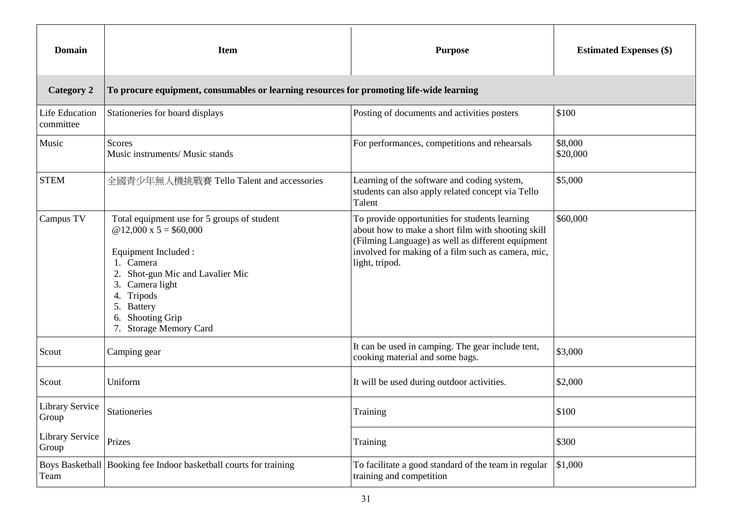| <b>Domain</b>                      | <b>Item</b>                                                                                                                                                                                                                                                       | <b>Purpose</b>                                                                                                                                                                                                                    | <b>Estimated Expenses (\$)</b> |
|------------------------------------|-------------------------------------------------------------------------------------------------------------------------------------------------------------------------------------------------------------------------------------------------------------------|-----------------------------------------------------------------------------------------------------------------------------------------------------------------------------------------------------------------------------------|--------------------------------|
| <b>Category 2</b>                  | To procure equipment, consumables or learning resources for promoting life-wide learning                                                                                                                                                                          |                                                                                                                                                                                                                                   |                                |
| <b>Life Education</b><br>committee | Stationeries for board displays                                                                                                                                                                                                                                   | Posting of documents and activities posters                                                                                                                                                                                       | \$100                          |
| Music                              | <b>Scores</b><br>Music instruments/ Music stands                                                                                                                                                                                                                  | For performances, competitions and rehearsals                                                                                                                                                                                     | \$8,000<br>\$20,000            |
| <b>STEM</b>                        | 全國青少年無人機挑戰賽 Tello Talent and accessories                                                                                                                                                                                                                          | Learning of the software and coding system,<br>students can also apply related concept via Tello<br>Talent                                                                                                                        | \$5,000                        |
| Campus TV                          | Total equipment use for 5 groups of student<br>@ 12,000 x $5 = $60,000$<br>Equipment Included :<br>Camera<br>Shot-gun Mic and Lavalier Mic<br>Camera light<br>3.<br>Tripods<br>4.<br><b>Battery</b><br>5.<br><b>Shooting Grip</b><br>6.<br>7. Storage Memory Card | To provide opportunities for students learning<br>about how to make a short film with shooting skill<br>(Filming Language) as well as different equipment<br>involved for making of a film such as camera, mic,<br>light, tripod. | \$60,000                       |
| Scout                              | Camping gear                                                                                                                                                                                                                                                      | It can be used in camping. The gear include tent,<br>cooking material and some bags.                                                                                                                                              | \$3,000                        |
| Scout                              | Uniform                                                                                                                                                                                                                                                           | It will be used during outdoor activities.                                                                                                                                                                                        | \$2,000                        |
| <b>Library Service</b><br>Group    | Stationeries                                                                                                                                                                                                                                                      | Training                                                                                                                                                                                                                          | \$100                          |
| Library Service<br>Group           | Prizes                                                                                                                                                                                                                                                            | Training                                                                                                                                                                                                                          | \$300                          |
| Team                               | Boys Basketball Booking fee Indoor basketball courts for training                                                                                                                                                                                                 | To facilitate a good standard of the team in regular<br>training and competition                                                                                                                                                  | \$1,000                        |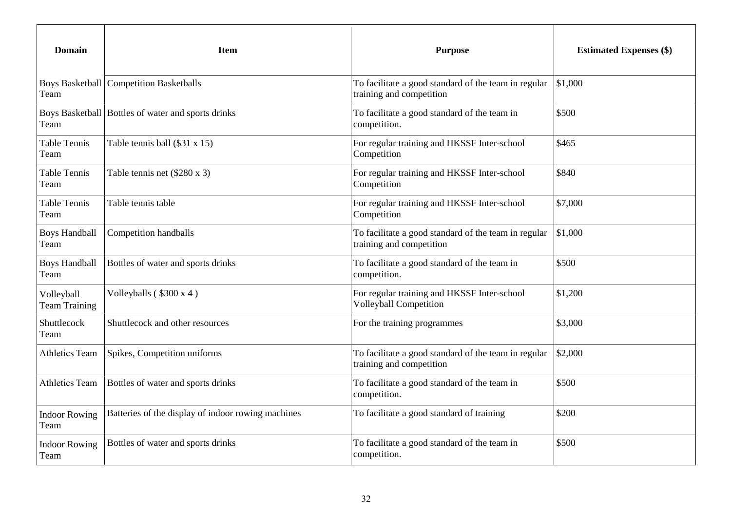| <b>Domain</b>                      | <b>Item</b>                                          | <b>Purpose</b>                                                                   | <b>Estimated Expenses (\$)</b> |  |
|------------------------------------|------------------------------------------------------|----------------------------------------------------------------------------------|--------------------------------|--|
| Team                               | <b>Boys Basketball   Competition Basketballs</b>     | To facilitate a good standard of the team in regular<br>training and competition | \$1,000                        |  |
| Team                               | Boys Basketball   Bottles of water and sports drinks | To facilitate a good standard of the team in<br>competition.                     | \$500                          |  |
| Table Tennis<br>Team               | Table tennis ball $(\$31 x 15)$                      | For regular training and HKSSF Inter-school<br>Competition                       | \$465                          |  |
| Table Tennis<br>Team               | Table tennis net $(\$280 \times 3)$                  | For regular training and HKSSF Inter-school<br>Competition                       | \$840                          |  |
| <b>Table Tennis</b><br>Team        | Table tennis table                                   | For regular training and HKSSF Inter-school<br>Competition                       | \$7,000                        |  |
| <b>Boys Handball</b><br>Team       | Competition handballs                                | To facilitate a good standard of the team in regular<br>training and competition | \$1,000                        |  |
| <b>Boys Handball</b><br>Team       | Bottles of water and sports drinks                   | To facilitate a good standard of the team in<br>competition.                     | \$500                          |  |
| Volleyball<br><b>Team Training</b> | Volleyballs (\$300 x 4)                              | For regular training and HKSSF Inter-school<br><b>Volleyball Competition</b>     | \$1,200                        |  |
| Shuttlecock<br>Team                | Shuttlecock and other resources                      | For the training programmes                                                      | \$3,000                        |  |
| <b>Athletics Team</b>              | Spikes, Competition uniforms                         | To facilitate a good standard of the team in regular<br>training and competition | \$2,000                        |  |
| <b>Athletics Team</b>              | Bottles of water and sports drinks                   | To facilitate a good standard of the team in<br>competition.                     | \$500                          |  |
| <b>Indoor Rowing</b><br>Team       | Batteries of the display of indoor rowing machines   | To facilitate a good standard of training                                        | \$200                          |  |
| <b>Indoor Rowing</b><br>Team       | Bottles of water and sports drinks                   | To facilitate a good standard of the team in<br>competition.                     | \$500                          |  |